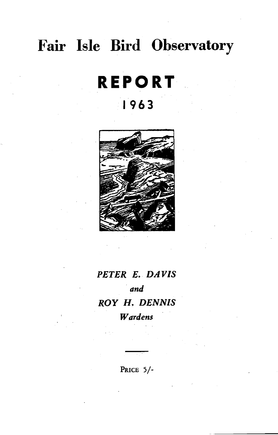# **Fair Isle Bird Observatory**

# **REPORT 1963**



# *PETER E. DAVIS and ROY* H. *DENNIS Wardens*

PRICE 5/-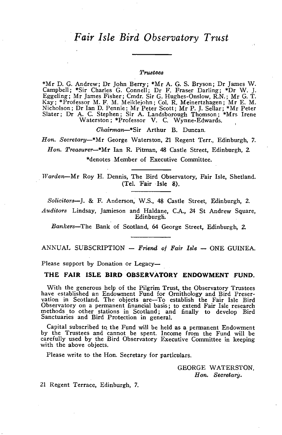# *Fair Isle Bird Observatory Trust*

#### $Trustees$

\*Mr D. G. Andrew; Dr John Berry; \*Mr A. G. S. Bryson; Dr James W. Campbell; \*Sir Charles G. Connell; Dr F. Fraser Darling; \*Dr W. J. Eggeling; Mr James Fisher; Cmdr. Sir G. Hughes-Onslow, R.N.; Mr G. T. Kay; \*Professor M. F. M. Meiklejohn; Col. R. Meinertzhagen; Mr E. M. Nicholson; Dr Ian D. Pennie; Mr Peter Scott; Mr P. J. Sellar; \*Mr Peter Slater; Dr A. C. Stephen; Sir A. Landsborough Thomson; \*Mrs Irene Waterston; \*Professor V. C. Wynne-Edwards.

*Ohairman-\*Sir* Arthur B. Duncan.

*Hon. Secretary-\*Mr* George Waterston, 21 Regent Terr., Edinburgh, 7. *Hon. Treasurer-\*Mr* Ian R. Pitman, 48 Castle Street, Edinburgh, 2. \*denotes Member of Executive Committee.

Warden-Mr Roy H. Dennis, The Bird Observatory, Fair Isle, Shetland. (Tel. Fair Isle 8).

*Solicitors-J.* & F. Anderson, W.S., 48 Castle Street, Edinburgh, 2.

*Auditors* Lindsay, Jamieson and Haldane, c.A., 24 St Andrew Square, Edinburgh.

*Bankers-The* Bank of Scotland, 64 George Street, Edinburgh, 2.

#### ANNUAL SUBSCRIPTION - Friend of Fair Isle - ONE GUINEA.

Please support by Donation or Legacy-

#### **THE FAIR ISLE BIRD OBSERVATORY ENDOWMENT FUND.**

With the generous help of the Pilgrim Trust, the Observatory Trustees have established an Endowment Fund for Orriithology and Bird Preservation in Scotland. The objects are-To establish the Fair Isle Bird Observatory on a permanent financial basis; to extend Fair Isle research methods to other stations in Scotland; and finally to develop Bird Sanctuaries and Bird Protection in general.

Capital subscribed to. the Fund will be held as a permanent Endowment by the Trustees and cannot be spent. Income from the Fund will be carefully used by the Bird Observatory Executive Committee in keeping with the above objects.

Please write to the Hon. Secretary for particulars.

GEORGE WATERSTON, *Hon. Secretary.* 

21 Regent Terrace, Edinburgh, 7.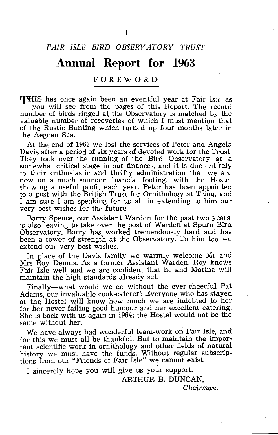#### *FAIR ISLE BIRD OBSERVATORY TRUST*

# **Annual Report for 1963**

#### **FOREWORD**

THIS has once again been an eventful year at Fair Isle as . you will see from the pages of this Report. The record number of birds ringed at the Observatory is matched by the valuable number of recoveries of which I must mention that of the Rustic Bunting which turned up four months later in the Aegean Sea.

At the end of 1963 we lost the services of Peter and Angela Davis after a period of six years of devoted work for the Trust. They took over the running of the Bird Observatory at a somewhat critical stage in our finances, and it is due entirely to their enthusiastic and thrifty administration that we are now on a much sounder financial footing, with the Hostel showing a useful profit each year. Peter has been appointed to a post with the British Trust for Ornithology at Tring, and I am sure I am speaking for us all in extending to him our very best wishes for the future.

Barry Spence, our Assistant Warden for the past two years, is also leaving to take over the post of Warden at Spurn Bird Observatory. Barry has. worked tremendously hard and has been a tower of strength at the Observatory. To him too we extend OUr very best wishes.

In place of the Davis family we warmly welcome Mr and Mrs Roy Dennis. As a former Assistant Warden, Roy knows Fair Isle well and we are confident that he and Marina will maintain the high standards already set.

Finally-what would we do without the ever-cheerful Pat Adams, our invaluable cook-caterer? Everyone who has stayed at the Hostel will know how much we are indebted to her for her never-failing good humour and her excellent catering. She is back with us again in 1964; the Hostel would not be the same without her.

We have always had wonderful team-work on Fair Isle, an**d** for this we must all be thankful. But to maintain the important scientific work in ornithology and other fields of natural history we must have the funds. Without regular subscriptions from our "Friends of Fair Isle" we cannot exist.

I sincerely hope you will give us your support.

ARTHUR B. DUNCAN,

*Chairman.*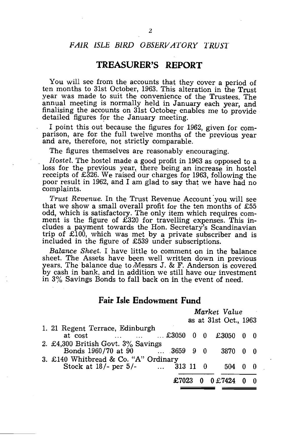#### *FAIR ISLE BIRD OBSERVATORY TRUS1'*

## **TREASURER'S REPORT**

You will see from the accounts that they cover a period of ten months to 31st October, 1963. This alteration in the Trust year was made to suit the convenience of the Trustees. The annual meeting is normally held in January each year, and finalising the accounts on 31st October enables me to provide detailed figures for the January meeting.

I point this out because the figures for 1962, given for comparison, are for the full twelve months of the previous year and are, therefore, not strictly comparable.

The figures themselves are reasonably encouraging.

*Hostel.* The hostel made a good profit in 1963 as opposed to a loss for the previous year, there being an increase in hostel receipts of £326. We raised our charges for 1963, following the poor result in 1962, and I am glad to say that we have had no complaints.

*Trust Revenue.* In the Trust Revenue Account 'you will see that we show a small overall profit for the ten months of £55 odd, which is satisfactory. The only item which requires comment is the figure of £320 for travelling expenses. This includes a payment towards the Hon. Secretary's Scandinavian trip of £100, which was met by a private subscriber and is included in the figure of £539 under subscriptions.

*Balance Sheet.* I have little to comment on in the 'balance sheet. The Assets have been well written down in previous years. The balance due to *IMessrs* J. & F. Anderson is covered by cash in bank, and in addition we still have our investment in 3% Savings Bonds to fall back on in the event of need.

## **Fair Isle Endowment Fund**

|                                                                                                   | Market Value |  |  |                       |             |  |
|---------------------------------------------------------------------------------------------------|--------------|--|--|-----------------------|-------------|--|
|                                                                                                   |              |  |  | as at 31st Oct., 1963 |             |  |
| 1. 21 Regent Terrace, Edinburgh<br>$\ldots$ $\ldots$ $\ldots$ $\text{\pounds}3050$ 0 0<br>at cost |              |  |  | $£3050$ 0 0           |             |  |
| 2. £4,300 British Govt. 3% Savings<br>Bonds 1960/70 at 90  3659 9 0                               |              |  |  | 3870                  | $0 \quad 0$ |  |
| 3. £140 Whitbread & Co. "A" Ordinary<br>Stock at $18/-$ per $5/-$ 313 11 0                        |              |  |  | 504 -                 | 0           |  |
|                                                                                                   | £7023        |  |  | 0 £7424 0 0           |             |  |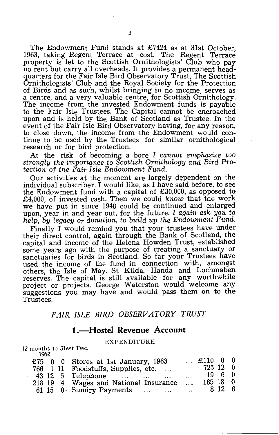The Endowment Fund stands at £7424 as at 31st October, 1963, taking Regent Terrace at cost. The Regent Terrace property is let to the Scottish Ornithologists' Club who pay no rent but carry all overheads. It provides a permanent headquarters for the Fair Isle Bird Observatory Trust, The Scottish Ornithologists' Club and the Royal SoCiety for the Protection of Birds and as such, whilst bringing in no income, serves as a centre, and a very valuable centre, for Scottish Ornithology. The income from the invested Endowment funds is payable to the Fair Isle Trustees. The Capital cannot be encroached upon and is held by the Bank of Scotland as Trustee. In the event of the Fair Isle Bird Observatory having, for any reason, to close down, the income from the Endowment would continue to be used by the Trustees for similar ornithological research or for bird protection.

At the risk of becoming a bore I *cannot emphasize too strongly the importance* to *Scottish Ornithology and Bird Protection* of *the Fair Isle Endowment Fund.* 

Our activities at the moment are largely dependent on the individual subscriber. I would like, as I have said before, to see the Endowment fund with a capital of £30,000, as opposed to £4,000, of invested cash. Then we could *know* that the work we have put in since 1948 could be continued and enlarged upon, year in and year out, for the future. I *again ask you* to help, by legacy or donation, to build up the Endowment Fund.

Finally I would remind you that your trustees have under their direct control, again through the Bank of Scotland, the capital and income of the Helena Howden Trust, established some years ago with the purpose of creating a sanctuary or sanctuaries for birds in Scotland. So far your Trustees have used the income of the fund in connection with, amongst others, the Isle of May, St Kilda, Handa and Lochmaben reserves. The capital is still available for any worthwhile project or projects. George Waterston would welcome any suggestions you may have and would pass them on to the Trustees.

# *FAIR ISLE BIRD OBSERVATORY TRUST*

#### **I.-Hostel Revenue Account**

#### EXPENDITURE

12 months to 31est Dec. 1962

|  | £75 0 0 Stores at 1st January, 1963   |                   | $\ldots$ £110 0 0 |  |
|--|---------------------------------------|-------------------|-------------------|--|
|  | 766 1 11 Foodstuffs, Supplies, etc.   | $\sim$ 100 $\sim$ | 725 12 0          |  |
|  | 43 12 5 Telephone<br>$\cdots$         | $\cdots$          | 1960              |  |
|  | 218 19 4 Wages and National Insurance | $\mathbf{r}$      | $185 \t18 \t0$    |  |
|  | $61\;15\;0$ Sundry Payments           | $\mathbf{r}$      | 8 12 6            |  |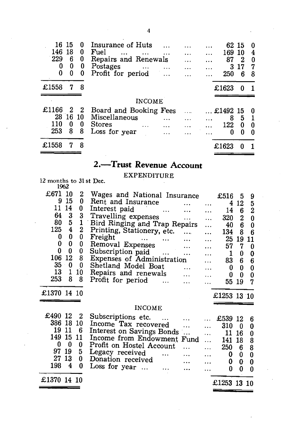| 16 15<br>146<br>229<br>0<br>0 | -18<br>6<br>0<br>0 | 0<br>0<br>0<br>0<br>0 | Insurance of Huts<br>Fuel<br>$\cdots$<br>$\cdots$<br>Repairs and Renewals<br>Postages<br>$\cdots$<br>Profit for period | $\cdots$ | .<br><br>.<br>. | 62 15<br>169<br>87<br>3<br>250 | 10<br>2<br>17<br>6 | 4<br>0<br>7<br>8 |
|-------------------------------|--------------------|-----------------------|------------------------------------------------------------------------------------------------------------------------|----------|-----------------|--------------------------------|--------------------|------------------|
| £1558                         | 7                  | 8                     |                                                                                                                        |          |                 | £1623                          | 0                  |                  |
|                               |                    |                       | <b>INCOME</b>                                                                                                          |          |                 |                                |                    |                  |
| £1166                         | 2                  | - 2                   | Board and Booking Fees                                                                                                 |          |                 | £1492 15                       |                    | 0                |
|                               |                    |                       |                                                                                                                        |          |                 |                                |                    |                  |
| 28<br>110                     | 16<br>0            | -10<br>0              | Miscellaneous<br><b>Stores</b>                                                                                         | .        | $\ddotsc$<br>.  | 8<br>122                       | 5<br>0             | 0                |
| 253                           | 8                  | 8                     | Loss for year                                                                                                          |          |                 | 0                              | 0                  | O                |

# 2.-Trust Revenue Account

EXPENDITURE 12 months to 31 st Dec. 1962

| £671<br>9<br>11<br>64<br>80<br>125<br>0<br>0<br>0<br>106<br>35<br>13 | 10<br>15<br>14<br>3<br>5<br>$\overline{\mathbf{4}}$<br>$\bf{0}$<br>0<br>0<br>12<br>0<br>1 | 2<br>0<br>0<br>3<br>1<br>2<br>0<br>0<br>0<br>8<br>0<br>10 | Wages and National Insurance<br>Rent and Insurance<br>$\ddotsc$<br>Interest paid<br>and the company of the company of<br>Travelling expenses<br>$\cdots$<br>Bird Ringing and Trap Repairs<br>Printing, Stationery, etc.<br>Freight<br><b>Allen Contract Contract Contract Contract</b><br>Removal Expenses<br>$\mathcal{L}_{\text{max}}$ and<br>Subscription paid<br>Expenses of Administration<br>Shetland Model Boat<br>$\dddotsc$<br>Repairs and renewals<br>$\sim$ | $\ddotsc$<br>$\cdots$<br>$\ddotsc$<br>$\ddotsc$<br><br>.<br>.<br>$\cdots$<br>$\cdots$ | £516<br>4<br>14<br>320<br>40<br>134<br>25<br>57<br>1<br>83<br>0<br>0 | 5<br>12<br>6<br>2<br>6<br>8<br>19<br>7<br>0<br>6<br>0<br>0 | 9<br>5<br>$\overline{2}$<br>0<br>$\bf{0}$<br>6<br>11<br>0<br>0<br>6<br>0<br>0 |
|----------------------------------------------------------------------|-------------------------------------------------------------------------------------------|-----------------------------------------------------------|------------------------------------------------------------------------------------------------------------------------------------------------------------------------------------------------------------------------------------------------------------------------------------------------------------------------------------------------------------------------------------------------------------------------------------------------------------------------|---------------------------------------------------------------------------------------|----------------------------------------------------------------------|------------------------------------------------------------|-------------------------------------------------------------------------------|
| 253                                                                  | 8                                                                                         | 8                                                         | Profit for period<br>$\ddotsc$                                                                                                                                                                                                                                                                                                                                                                                                                                         |                                                                                       | 55                                                                   | 19                                                         | 7                                                                             |
| £1370 14 10                                                          |                                                                                           |                                                           | <b>INCOME</b>                                                                                                                                                                                                                                                                                                                                                                                                                                                          |                                                                                       | £1253 13 10                                                          |                                                            |                                                                               |
| £490 12                                                              |                                                                                           |                                                           |                                                                                                                                                                                                                                                                                                                                                                                                                                                                        |                                                                                       |                                                                      |                                                            |                                                                               |
| 386                                                                  | 18                                                                                        | 2<br>10                                                   | Subscriptions etc.<br>$\cdots$<br>Income Tax recovered                                                                                                                                                                                                                                                                                                                                                                                                                 | $\dddotsc$                                                                            | £539<br>310                                                          | -12<br>0                                                   | 6<br>0                                                                        |
| 19                                                                   | 11                                                                                        | 6                                                         | Interest on Savings Bonds                                                                                                                                                                                                                                                                                                                                                                                                                                              | $\ddotsc$                                                                             | 11                                                                   | 16                                                         | 0                                                                             |
| 149<br>0                                                             | 15                                                                                        | 11                                                        | Income from Endowment Fund                                                                                                                                                                                                                                                                                                                                                                                                                                             | $\cdots$                                                                              | 141                                                                  | 18                                                         | 8                                                                             |
| 97                                                                   | 0<br>19                                                                                   | 0<br>5                                                    | Profit on Hostel Account<br>$\dddotsc$                                                                                                                                                                                                                                                                                                                                                                                                                                 | $\ddotsc$                                                                             | 250                                                                  | 6                                                          | 8                                                                             |
| 27                                                                   | 13                                                                                        | 0                                                         | Legacy received<br>$\ddotsc$<br>Donation received                                                                                                                                                                                                                                                                                                                                                                                                                      | .                                                                                     | 0                                                                    | 0                                                          | 0                                                                             |
| 198                                                                  | 4                                                                                         | 0                                                         | Loss for year $\dots$ $\dots$                                                                                                                                                                                                                                                                                                                                                                                                                                          |                                                                                       | 0<br>0                                                               | 0<br>0                                                     | 0<br>0                                                                        |
|                                                                      |                                                                                           |                                                           |                                                                                                                                                                                                                                                                                                                                                                                                                                                                        |                                                                                       |                                                                      |                                                            |                                                                               |
| £1370 14 10                                                          |                                                                                           |                                                           |                                                                                                                                                                                                                                                                                                                                                                                                                                                                        |                                                                                       | £1253 13 10                                                          |                                                            |                                                                               |

4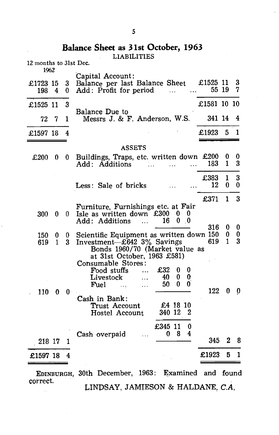## **Balance Sheet as 31st October, 1963**

LIABILITIES

| 12 months to 31st Dec.<br>1962 |              |        |                                                                                                                                                                                                                                                                       |                 |                   |        |
|--------------------------------|--------------|--------|-----------------------------------------------------------------------------------------------------------------------------------------------------------------------------------------------------------------------------------------------------------------------|-----------------|-------------------|--------|
| £1723 15<br>198                | - 4          | 3<br>0 | Capital Account:<br>Balance per last Balance Sheet £1525 11<br>Add: Profit for period<br>$\ddotsc$                                                                                                                                                                    |                 | 55 19             | 3<br>7 |
| £1525 11                       |              | 3      |                                                                                                                                                                                                                                                                       | £1581 10 10     |                   |        |
| 72                             | 7            | 1      | Balance Due to<br>Messrs J. & F. Anderson, W.S.                                                                                                                                                                                                                       | 341 14          |                   | 4      |
| £1597 18                       |              | 4      |                                                                                                                                                                                                                                                                       | £1923           | 5.                | 1      |
|                                |              |        | <b>ASSETS</b>                                                                                                                                                                                                                                                         |                 |                   |        |
| £200                           | 0            | 0      | Buildings, Traps, etc. written down £200<br>Add: Additions<br>$\mathbf{1} \cdot \mathbf{1}$                                                                                                                                                                           | 183<br>$\cdots$ | O<br>1            | 0<br>3 |
|                                |              |        | Less: Sale of bricks                                                                                                                                                                                                                                                  | £383<br>12      | $\mathbf{1}$<br>0 | 3<br>0 |
|                                |              |        |                                                                                                                                                                                                                                                                       | £371            | 1                 | 3      |
| 300                            | 0            | 0.     | Furniture, Furnishings etc. at Fair<br>Isle as written down $£300 \quad 0$<br>U<br>$0 \quad 0$<br>16<br>Add: Additions<br><b>Carlos</b>                                                                                                                               |                 |                   |        |
| 150                            | 0            | 0      | Scientific Equipment as written down 150                                                                                                                                                                                                                              | 316             | 0<br>0            | 0<br>0 |
| 619                            | $\mathbf{1}$ | 3      | Investment- $\text{\pounds}642$ 3% Savings<br>Bonds 1960/70 (Market value as<br>at 31st October, 1963 £581)<br>Consumable Stores:<br>£32<br>Food stuffs<br>0<br>0<br>0<br>0<br>40.<br>Livestock<br>$\cdots$<br>- 0<br>50<br>0<br>Fuel<br>$\sim$ . $\sim$<br>$\ddotsc$ | 619             | $\mathbf{1}$      | 3      |
| 110                            | $\bf{0}$     | 0      | Cash in Bank:<br>£4 18 10<br>Trust Account<br>340 12<br>2<br>Hostel Account                                                                                                                                                                                           | 122             | 0                 | 0      |
| 218 17                         |              |        | £345 11<br>$\bf{0}$<br>4<br>$\mathbf{0}$<br>8<br>Cash overpaid<br>$\cdots$                                                                                                                                                                                            | 345             | 2                 | 8      |
|                                |              | 1      |                                                                                                                                                                                                                                                                       |                 |                   |        |
| £1597 18                       |              | 4      |                                                                                                                                                                                                                                                                       | £1923           | 5                 | 1      |

EDINBURGH, 30th December, 1963: Examined and found correct. LINDSAY, JAMIESON & HALDANE, *C.A,*  $\bar{\omega}$  .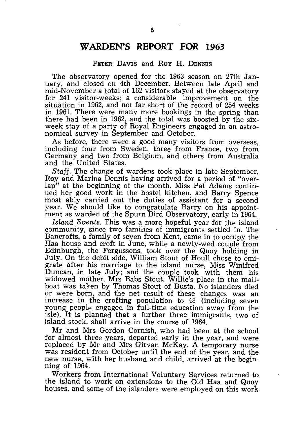## **WARDEN'S REPORT FOR 1963**

#### PETER DAVIS and Roy H. DENNIS

The observatory opened for the 1963 season on 27th January, and closed on 4th December. Between late April and mid-November a total of 162 visitors stayed at the observatory for 241 visitor-weeks; a considerable improvement on the situation in 1962, and not far short of the record of 254 weeks in 1961. There were many more bookings in the spring than there had been in  $1962<sub>3</sub>$  and the total was boosted by the sixweek stay of a party of Royal Engineers engaged in an astronomical survey in September and October.

As before, there were a good many visitors from overseas, including four from Sweden, three from France, two from Germany and two from Belgium, and others from Australia and the United States.

*Staff.* The change of wardens took place in late September, Roy and Marina Dennis having arrived for a period of "over-<br>lap" at the beginning of the month. Miss Pat Adams continat the beginning of the month. Miss Pat Adams continued her good work in the hostel kitchen, and Barry Spence most ably carried out the duties of assistant for a second year. We should like to congratulate Barry on his appointment as warden of the Spurn Bird Observatory, early in 1964.

*Island Events.* This was a more hopeful year for the island community, since two families of immigrants settled in. The Bancrofts, a family of seven from Kent, came in to occupy the Haa house and croft in June, while a newly-wed couple from Edinburgh, the Fergussons, took over the Quoy holding in July. On the debit side, William Stout of Houll chose to emigrate after his marriage to the island nurse, Miss Winifred Duncan, in late July; and the couple took with them his widowed mother, Mrs Babs Stout. Willie's place in the mail- 'boat was taken by Thomas Stout of Busta. No islanders died or were born, and the net result of these changes was an increase in the crofting population to 48 (including seven young people engaged in full-time education away from the isle). It is planned that a further three immigrants, two of island stock, shall arrive in the course of 1964.

Mr and Mrs Gordon Cornish, who had been at the school for almost three years, departed early in the year, and were replaced by Mr and Mrs Girvan McKay. A temporary nurse was resident from October until the end of the year, and the new nurse, with her husband and child, arrived at the beginning of 1964.

Workers from International Voluntary Services returned to the island to work on extensions to the Old Haa and Quoy houses, and some of the islanders were employed on this work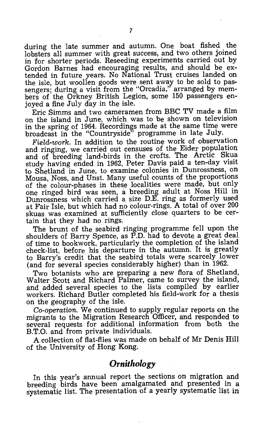during the late summer and autumn. One boat fished the lobsters all summer with great success, and two others joined in for shorter periods. Reseeding experiments carried out by Gordon Barnes had encouraging results, and should be extended in future years. No National Trust cruises landed on the isle, but woollen goods were sent away to be sold to passengers; during a visit from the "Orcadia," arranged by members of the Orkney British Legion, some 150 passengers enjoyed a fine July day in the isle.

Eric Simms and two cameramen from BBC TV made a film on the island in June, which was to be shown on television in the spring of 1964. Recordings made at the same time were broadcast in the "Countryside" programme in late July.

*Field-work.* In addition to the routine work of observation and ringing, we carried out censuses of the Eider population and of breeding land-birds in the crofts. The Arctic Skua study having ended in 1962, Peter Davis paid a ten-day visit to Shetland in June, to examine colonies in Dunrossness, on Mousa, Noss, and Unst. Many useful counts of the proportions of the colour-phases in these localities were made, but only one ringed bird was seen, a breeding adult at Noss Hill in Dunrossness which carried a size D.E. ring as formerly used at Fair Isle, but which had no colour-rings. A total of over 200 skuas was examined at sufficiently close quarters to be certain that they had no rings.

The brunt of the seabird ringing programme fell upon the shoulders of Barry Spence, as P.D. had to devote a great deal of time to bookwork, particularly the completion of the island check-list, before his departure in the autumn. It is greatly to Barry's credit that the seabird totals were scarcely lower (and for several species considerably higher) than in 1962.

Two botanists who are preparing a new flora of Shetland, WaIter Scott and Richard Palmer, came to survey the island, and added several species to the lists compiled by earlier workers. Richard Butler completed his field-work for a thesis on the geography of the isle.

*Co-operation.* We continued to supply regular reports on the migrants to the Migration Research Officer, and responded to several requests for additional information from both the B.T.O. and from private individuals.

A collection of flat-flies was made on behalf of Mr Denis Hill of the University of Hong Kong.

# *Ornithology*

In this year's annual report the sections on migration and breeding birds have been amalgamated and presented in a systematic list. The presentation of a yearly systematic list in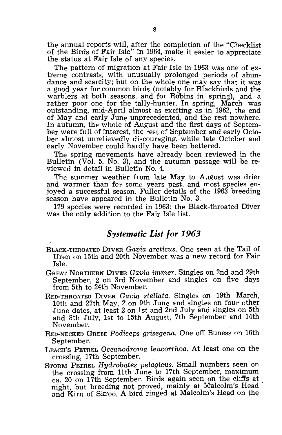the annual reports will, after the completion of the "Checklist of the Birds of Fair Isle" in 1964, make it easier to appreciate the status at Fair Isle of any species.

The pattern of migration at Fair Isle in 1963 was one of extreme contrasts, with unusually prolonged periods of abundance and scarcity; but on the whole one may say that it was a good year for common birds (notably for Blackbirds and the warblers at both seasons, and for Robins in spring), and a rather poor one for the tally-hunter. In spring, March was outstanding, mid-April almost as exciting as in 1962, the end of May and early June unprecedented, and the rest nowhere. In autumn, the whole of August and the first days of September were full of interest, the rest of September and early October almost unrelievedly qiscouraging, while late October and early November could hardly have been bettered.

The spring movements have already been reviewed in the Bulletin (Vol. 5, No. 3), and the autumn passage will be reviewed in detail in Bulletin No. 4.

The summer weather from late May to August was drier and warmer than for some years past, and most species enjoyed a successful season. Fuller details of the 1963 breeding season have appeared in the Bulletin No. 3.

179 species were recorded in 1963; the Black-throated Diver was the only addition to the Fair Isle list.

### *Systematic List for 1963*

- BLACK-THROATED DIVER *Gavia arcticus.* One seen at the Tail of Uren on 15th and 20th November was a new record for Fair Isle.
- GREAT NORTHERN DIVER *Gavia immer.* Singles on 2nd and 29th September, 2 on 3rd November and singles on five days from 5th to 24th November.
- RED-THROATED DIVER *Gavia steHata.* Singles on 19th . March, 10th and 27th May, 2 on 9th June and singles on four other June dates, at least 2 on 1st and 2nd July and singles on 5th and 8th July, 1st to 15th August, 7th September and 14th November.
- RED-NECKED GREBE *Podiceps grisegena.* One off Buness 0n 16th September.
- LEACH'S PETREL *Oceanodroma leucorrhoa.* At least one on the crossing, 17th September.
- STORM PETREL *Hydrobates pelagicus.* Small numbers seen on the crossing from 11th June to 17th September, maximum ca. 20 on 17th September. Birds again seen on the cliffs at night, but breeding not proved, mainly at Malcolm's Head and Kirn of Skroo. A bird ringed at Malcolm's Head on the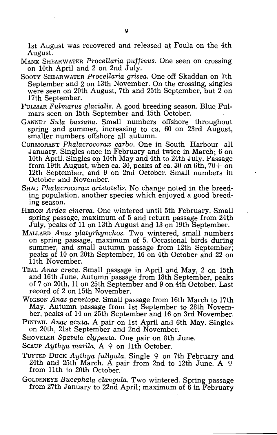1st August was recovered and released at Foula on the 4th August.

- MANX SHEARWATER *ProceHaria puffinus.* One seen on crossing on 10th April and 2 on 2nd July.
- SOOTY SHEARWATER *Procellaria grisea.* One off Skaddan on 7th September and 2 on 13th November. On the crossing, singles were seen on 20th August, 7th and 25th September, but 2 on 17th September.
- FULMAR *Fulmarus glacialis.* A good breeding season. Blue Fulmars seen on 15th September and 15th October.
- GANNET *Sula bassana.* Small numbers offshore throughout spring and summer, increasing to ca. 60 on 23rd August, smaller numbers offshore all autumn.
- CORMORANT *Phalacrocorax carbo.* One in South Harbour all January. Singles once in February and twice in March; 6 on 10th April. Singles on 10th May and 4th to 24th July. Passage from 19th August, when ca. 30, peaks of ca. 30 on 6th,  $70 + \overline{0}n$ 12th September, and 9 on 2nd October. Small numbers in October and November.
- SHAG *Phalacrocorax aristotelis.* No change noted in the breeding population, another species which enjoyed a good breeding season.
- HERON *Ardea cinerea.* One wintered until 5th February. Small spring passage, maximum of 5 and return passage from 24th July, peaks of 11 on 13th August and 13 on 19th September.
- MALLARD *Anas platyrhynchos.* Two wintered, small numbers on spring passage, maximum of 5. Occasional birds during summer, and small autumn passage from 12th September: peaks of 10 on 20th September, 16 on 4th October and 22 on 11th November.
- TEAL *Anas creca.* Small passage in April and May, 2 on 15th and 16th June. Autumn passage from 18th September, peaks of 7 on 20th, 11 on 25th September and 9 on 4th October. Last record of 2 on 15th November.
- WIGEON *Anas penelope.* Small passage from 16th March to 17th May. Autumn passage from 1st September to 28th November, peaks of 14 on 25th September and 16 on 3rd November.
- PINTAIL *Anas acuta.* A pair on 1st April and 6th May. Singles on 20th, 21st September and 2nd November.
- SHOVELER *Spatula clypeata.* One pair on 8th June.
- Scaup *Aythya marila.* A 9 on 11th October.
- TUFTED DUCK *Aythya fuligula*. Single  $9$  on 7th February and 24th and 25th March. A pair from 2nd to 12th June. A  $\varphi$ from 11th to 20th October.
- GOLDENEYE *Bucephala clangula.* Two wintered. Spring passage from 27th January to 22nd April; maximum of 6 in February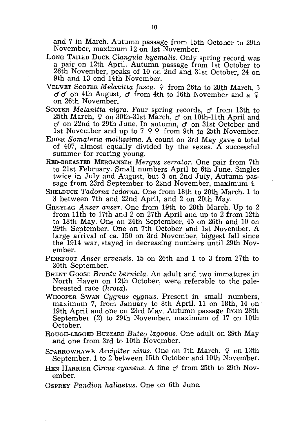and 7 in March. Autumn passage from 15th October to 29th November, maximum 12 on 1st November.

- LONG TAILED DUCK *Clangula hyemalis.* Only spring record was a pair on 12th April. Autumn passage from 1st October to 26th November, peaks of 10 on 2nd and 31st October, 24 on 9th and 13 ond 14th November.
- VELVET SCOTER *Melanitta fusca*. <sup>2</sup> from 26th to 28th March, 5  $\sigma$  of on 4th August,  $\sigma$  from 4th to 16th November and a  $\Omega$ on 26th November.
- SCOTER *Melanitta nigra.* Four spring records, *d* from 13th to 25th March,  $9$  on  $30th-31$ st March,  $\sigma$  on 10th-11th April and d' on 22nd to 29th June. In autumn, *d* on 31st October and 1st November and up to 7  $9$   $9$  from 9th to 25th November.
- EIDER *Somateria mollissima.* A count on 3rd May gave a total of 407, almost equally divided by the sexes. A successful summer for rearing young.
- RED-BREASTED MERGANSER *Merg1tS serrator.* One pair from 7th to 21st February. Small numbers April to 6th June. Singles twice in July and August, but 3 on 2nd July, Autumn passage from 23rd September to 22nd November, maximum 4.
- SHELDUCK *Tadorna tadorna.* One from 18th to 20th March. 1 to 3 between 7th and 22nd April, and 2 on 20th May.
- GREYLAG *Anser anser.* One ffam 19th to 28th March. Up to 2 from 11 th to 17th and 2 on 27th April and up to 2 from 12th to 18th May. One on 24th September, 45 on 26th and 10 on 29th September. One on 7th October and 1st November. A large arrival of ca. 150 on 3rd November, biggest fall since the 1914 war, stayed in decreasing numbers until 29th November.
- PINKFOOT *A nser arvensis.* 15 on 26th and 1 to 3 from 27th to 30th September.
- BRENT GOOSE *Branta bernicla.* An adult and two immatures in North Haven on 12th October, were referable to the palebreasted race *(hrota).*
- WHOOPER SWAN *Cygnus cygnus.* Present in small numbers, maximum 7, from January to 8th April. 11 on 18th, 14 on 19th April and one on 23rd May. Autumn passage from 28th September (2) to 29th November, maximum of 17 on 10th October.
- ROUGH-LEGGED BUZZARD *Buteo lagopus.* One adult on 29th May and one from 3rd to 10th November.
- SPARROWHAWK *Accipiter nisus.* One on 7th March.  $\varphi$  on 13th September. 1 to 2 between 15th October and 10th November.
- HEN HARRIER Circus cyaneus. A fine  $\sigma$  from 25th to 29th November.
- OSPREY *Pandion haliaetus.* One on 6th June.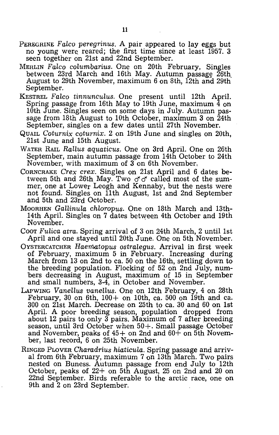- PEREGRINE *Falco peregrinus.* A pair appeared to lay eggs but no young were reared; the first time since at least 1957. 3 seen together on 21st and 22nd September.
- MERLIN *Falco columbarius*. One on 20th February, Singles between 23rd March and 16th May. Autumn passage  $\overline{26}$ th August to 29th November, maximum 6 on 8th, 12th and 29th September.
- KESTREL Falco tinnunculus. One present until 12th April. Spring passage from 16th May to 19th June, maximum  $\frac{1}{4}$  on 10th June. Singles seen on some days in July. Autumn passage from 18th August to 10th October, maximum 3 on 24th September, singles on a few dates until 27th November.
- QUAIL *Coturnix coturnix.* 2 on 19th June and singles on 20th, 21st June and 15th August.
- WATER RAIL *Rallus aquaticus.* One on 3rd April. One on 26th September, main autumn passage from 14th October to 24th November, with maximum of 3 on 6th November.
- CORNCRAKE *Crex crex.* Singles on 21st April and 6 dates between 5th and 26th May. Two  $\sigma \, \sigma$  called most of the summer, one at Lower Leogh and Kennaby, but the nests were not found. Singles on 11th August, 1st and 2nd September and 5th and 23rd October.
- MOORHEN *Gallinula chloropus*. One on 18th March and 13th-14th April. Singles on 7 dates between 4th October and 19th November.
- Coor *Fulica atra.* Spring arrival of 3 on 24th March, 2 until 1st April and one stayed until 20th June. One on 5th November.
- OYSTERCATCHER *Haematopus ostralegus*. Arrival in first week of February, maximum 5 in February. Increasing during March from 13 on 2nd to ca. 50 on the 16th, settling down to the breeding population. Flocking of 52 on 2nd July, num- 'bers decreasing in August, maximum of 15 in September and small numbers, 3-4, in October and November.
- LAPWING *Vanellus vanellus*. One on 12th February, 4 on 28th February, 30 on 6th,  $100+$  on 10th, ca. 500 on 19th and ca. 300 on 21st March. Decrease on 25th to ca. 30 and 60 on 1st April. A poor breeding season, population dropped from about 12 pairs to only 3 pairs. Maximum of 7 after breeding season, until 3rd October when 50+. Small passage October and November, peaks of  $45+$  on 2nd and  $60+$  on 5th November, last record, 6 on 25th November.
- RINGED PLOVER Charadrius hiaticula. Spring passage and arrival from 6th February, maximum  $7 \text{ on } 13$ th March. Two pairs nested on Buness. Autumn passage from end July to 12th October, peaks of 22+ on 5th August, 25 on 2nd and 20 on 22nd September. Birds referable to the arctic race, one on 9th and 2 on 23rd September.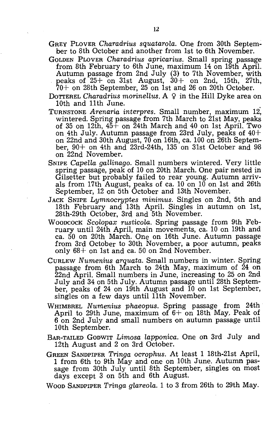- GREY PLOVER *Charadrius squatarola.* One from 30th September to 8th October and another from 1st to 6th November.
- GOLDEN PLOVER *Charadrius apricarius.* Small spring passage from 8th February to 6th June, maximum 14 on 19th April. Autumn passage from 2nd July (3) to 7th November, with peaks of 25+ on 31st August, 30+ on 2nd, 15th, 27th, 70+ on 28th September, 25 on 1st and 26 on 20th October.
- DOTTEREL *Charadrius morinellus*. A 9 in the Hill Dyke area on 10th and 11th June.
- TURNSTONE *Arenaria interpres.* Small number, maximum 12: wintered. Spring passage from 7th March to 21st May, peaks of 35 on 12th,  $45+$  on 24th March and 40 on 1st April. Two on 4th July. Autumn passage from 23rd July, peaks of  $40+$ on 22nd and 30th August, 70 on 16th, ca. 100 on 26th September, 90+ on 4th and 23rd-24th, 135 on 31st October and 98 on 22nd November.
- SNIPE *Capella gallinago.* Small numbers wintered. Very little spring passage, peak of 10 on 20th March. One pair nested in Gilsetter but probably failed to rear young. Autumn arrivals from 17th August, peaks of ca. 10 on 10 on 1st and 26th September, 12 on 5th October and 13th November.
- JACK SNIPE *Lymnocryptes minimus.* Singles on 2nd, 5th and 18th February and 13th April. Singles in autumn on 1st, 28th-29th October, 3rd and 5th November.
- WOODCOCK *Scolopax rusticola.* Spring passage from 9th February until 24th April, main movements, ca. 10 on 19th and ca. 50 on 20th March. One on 16th June. Autumn passage from 3rd October to 30th November, a poor autumn, peaks only  $68+$  on 1st and ca. 50 on 2nd November.
- CURLEW *Numenius arquata.* Small numbers in winter. Spring passage from 6th March to 24th May, maximum of 24 on 22nd April. Small numbers in June, increasing to 25 on 2nd July and 34 on 5th JUly. Autumn passage until 28th September, peaks of 24 on 19th August and 10 on 1st September, singles on a few days until 11th November.
- WHIMBREL *Nurnenius phaeopus.* Spring passage from 24th April to 29th June, maximum of  $6+$  on 18th May. Peak of 6 on 2nd July and small numbers on autumn passage until 10th September.
- BAR-TAILED GODWIT Limosa *lapponica.* One on 3rd July and 12th August and 2 on 3rd October.
- GREEN SANDPIPER *Tringa ocrophus.* At least 1 18th-21st April, 1 from 6th to 9th May and one on 10th June. Autumn passage from 30th July until 8th September, singles on most days except 3 on 5th and 6th August.

WOOD SANDPIPER *Tringa g'lareola.* 1 to 3 from 26th to 29th May.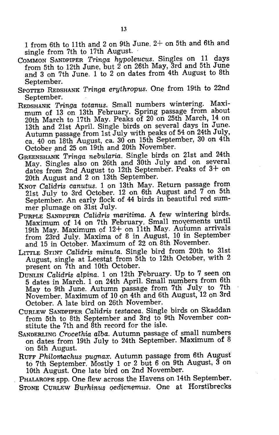1 from 6th to 11th and 2 on 9th June. 2+ on 5th and 6th and single from 7th to 17th August. .

- COMMON SANDPIPER *Tringa hypoleucus.* Singles on 11 days from 5th to 12th June, but  $2$  on 26th May, 3rd and 5th June and 3 on 7th June. 1 to 2 on dates from 4th August to 8th September.
- SPOTTED REDSHANK *Tringa erythropus.* One from 19th to 22nd September.
- REDSHANK *Tringa totanus.* Small numbers wintering. Maximum of 13 on 13th February. Spring passage from about 20th March to 17th May. Peaks of 20 on 25th March, 14 on 13th and 21st April. Single birds on several days in June. Autumn passage from 1st July with peaks of 54 on 24th July, ca. 40 on 18th August, ca. 30 on 15th September, 30 on 4th October and 25 on 19th and 20th November.
- GREENSHANK *Tringa nebularia.* Single birds on 21st and 24th May. Singles also on 26th and 30th July and on several dates from 2nd August to 12th September. Peaks of 3+ on 20th August and 2 on 13th September.
- KNOT *Calidris canutus.* 1 on 13th May. Return passage from 21st July to 3rd October. 12 on 6th August and 7 on 5th September. An early flock of 44 birds in beautiful red summer plumage on 31st July.
- PURPLE SANDPIPER *Calidris maritima.* A few wintering birds. Maximum of 14 on 7th February. Small movements until 19th May. Maximum of 12+ on 11th May. Autumn arrivals from 23rd July. Maxima of 8 in August, 10 in September and 15 in October. Maximum of 22 on 8th November.
- LITTLE STINT *Calidris minuta.* Single bird from 20th to 31st August, single at Leestat from 5th to 12th October, with 2 present on 7th and 10th October.
- DUNLIN *Calidris alpina.* 1 on 12th February. Up to 7 seen on 5 dates in March. 1 on 24th April. Small numbers from 6th May to 9th June. Autumn passage from 7th July to 7th November. Maximum of 10 on 4th and 6th August, 12 on 3rd October. A late bird on 26th November.
- CURLEW SANDPIPER *Calidris testacea.* Single birds on Skaddan from 5th to 8th September and 3rd to 9th November constitute the 7th and 8th record for the isle.
- SANDERLING *Crocethia alba.* Autumn passage of small numbers on dates from 19th July to 24th September. Maximum of 8 on 5th August.

RUFF *Philomachus pugnax.* Autumn passage from 6th August to 7th September. Mostly 1 or 2 but 6 on 9th August, 3 on 10th August. One late bird on 2nd November.

PHALAROPE spp. One flew across the Havens on 14th September. STONE CURLEW *Burhinus oedicnemus*. One at Horstibrecks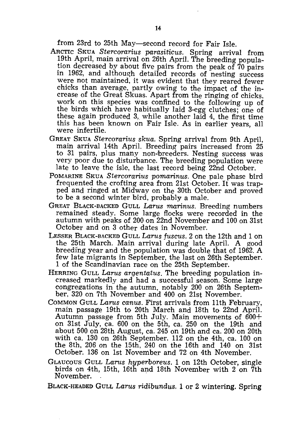from 23rd to 25th May-second record for Fair Isle.

- ARCTIC SKUA *Stercorarius parasiticus.* Spring arrival from 19th April, main arrival on 26th April. The breeding population decreased by about five pairs from the peak of 70 pairs in 1962, and although detailed records of nesting success were not maintained, it was evident that they reared fewer chicks than average, partly owing to the impact of the increase of the Great Skuas. Apart from the ringing of chicks. work on this species was confined to the following up of the birds which have habitually laid 3-egg clutches; one of these again produced 3, while another laid 4, the first time this has been known on Fair Isle. As in earlier years, all were infertile.
- GREAT SKUA *Stercorarius skua.* Spring arrival from 9th April, main arrival 14th April. Breeding pairs increased from 25 to 31 pairs, plus many non-breeders. Nesting success was very poor due to disturbance. The breeding population were late to leave the isle, the last record being 22nd October.
- POMARINE SKUA *Stercorarius pomarinus.* One pale phase bird frequented the crofting area from 21st October. It was trapped and ringed at Midway on the 30th October and proved to be a second winter bird, probably a male.
- GREAT BLACK-BACKED GULL *Larus marinus.* Breeding numbers remained steady. Some large flocks were recorded in the autumn with peaks of 200 on 22nd November and 100 on 31st October and on 3 other dates in November.
- LESSER BLACK-BACKED GULL *Larus fUscus.* 2 on the 12th and 1 on the 25th March. Main arrival during late April. A good breeding year and the population was double that of 1962. A few late migrants in September, the last on 26th September. 1 of the Scandinavian race on the 25th September.
- HERRING GULL *Larus arqentatus.* The breeding population increased markedly and had a successful season. Some large congregations in the autumn, notably 200 on 26th September. 320 on 7th November and 400 on 21st November.
- COMMON GULL *LaTUS canus.* First arrivals from 11th February, main passage 19th to 20th March and 18th to 22nd April. Autumn passage from 5th July. Main movements of 600+ on 31st July, ca. 600 on the 5th, ca. 250 on the 19th and about 500 on 28th August, ca. 245 on 19th and ca. 200 on 20th with ca. 130 on 26th September. 112 on the 4th, ca. 100 on the 8th, 206 on the 15th, 240 on the 16th and 140 on 31st October. 136 on 1st November and 72 on 4th November.
- GLAUCOUS GULL *LaTUS hyperboreus.* 1 on 12th October, single birds on 4th, 15th, 16th and 18th November with  $2$  on 7th November. .

BLACK-HEADED GULL *Larus ridibundus.* 1 or 2 wintering. Spring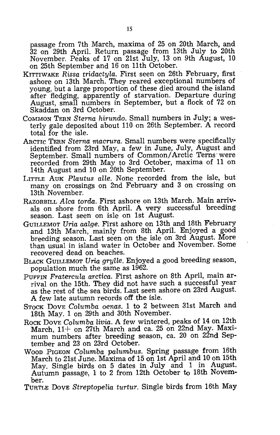passage from 7th March, maxima of 25 on 20th March, and 32 on 29th April. Return passage from 13th July to 20th November. Peaks of 17 on 21st July, 13 on 9th August, 10 on 25th September and 16 on 11th October.

- KITTIWAKE *Rissa tridactyla.* First seen on 26th February, first ashore on 13th March. They reared exceptional numbers of young, but a large proportion of these died around the island after fledging, apparently of starvation. Departure during August, small numbers in September, but a flock of 72 on Skaddan on 3rd October.
- COMMON TERN *Sterna hirundo.* Small numbers in July; a westerly gale deposited about 110 on 26th September. A record total for the isle.
- ARCTIC TERN *Sterna macrura.* Small numbers were specifically identified from 23rd May, a few in June, July, August and September. Small numbers of Common/Arctic Terns' were recorded from 29th May to 3rd October, maxima of 11 on 14th August and 10 on 20th September.
- LITTLE AUK *Plautus alle.* None recorded from the isle, but many on crossings on 2nd February and 3 on crossing on 13th November.
- RAZORBILL *Alea torda.* First ashore on 13th March. Main arrivals on shore from 6th April. A very successful 'breeding season. Last seen on isle on 1st August.
- GUILLEMOT *Uria aalge.* First ashore on 13th and 18th February and 13th March, mainly from 8th April. Enjoyed a good breeding season. Last seen on the isle on 3rd August. More than usual in island water in October and November. Some recovered dead on beaches.
- BLACK GUILLEMOT *Uria grylle.* Enjoyed a good breeding season, population much the same as 1962.
- PUFFIN *Fratereula arctiea.* First ashore on 8th April, main arrival on the 15th. They did not have such a successful year as the rest of the sea birds. Last seen ashore on 23rd August. A few late autumn records off the isle.
- STOCK DOVE *Columba oenas.* 1 to 2 between 31st March and 18th May. 1 on 29th and 30th November.
- ROCK DOVE *Columba livia*. A few wintered, peaks of 14 on 12th March, 11+ on 27th March and ca. 25 on 22nd May. Maximum numbers after breeding season, ca. 20 on 22nd September and 23 on 23rd October.
- WOOD PIGEON *Columba palumbus.* Spring passage from 16th March to 21st June. Maxima of 15 on 1st April and 10 on 15th May. Single birds on 5 dates in July and 1 in August. Autumn passage, 1 to 2 from 12th October to 18th November.

TURTLE DOVE *Streptopelia turtur.* Single birds from 16th May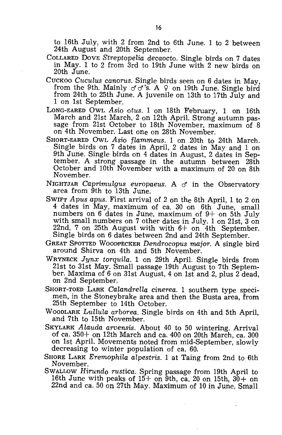to 16th July, with 2 from 2nd to 6th June. 1 to 2 between 24th August and 20th September.

- COLLARED DOVE *S'treptopelia decaocto.* Single birds on 7 dates in May. 1 to 2 from 3rd to 19th June with 2 new birds on 20th June.
- CUCKOO *Cuculus canorus.* Single birds seen on 6 dates in May, from the 9th. Mainly  $\sigma' \sigma'$ 's. A  $\varphi$  on 19th June. Single bird from 24th to 25th June. A juvenile on 13th to 17th July and 1 on 1st September.
- LONG-EARED OWL *Asio otus.* 1 on 18th February, 1 on 16th March and 21st March, 2 on 12th April. Strong autumn passage from 21st October to 18th November, maximum of 8 on 4th November. Last one on 28th November.
- SHORT-EARED OWL *Asio flammeus.* 1 on 20th to 24th March. Single birds on 7 dates in April, 2 dates in May and 1 on 9th June. Single birds on 4 dates in August, 2 dates in September. A strong passage in the autumn between 28th October and 10th November with a maximum of 20 on 8th November.
- NIGHTJAR *Caprimulgus europaeus*. A  $\sigma$  in the Observatory area from 9th to 13th June.
- SWIFT *Apus apus.* First arrival of 2 on the 8th April, 1 to 2 on 4 dates in May, maximum of ca. 30 on 6th June, small numbers on  $6$  dates in June, maximum of  $9+$  on 5th July with small numbers on 7 other dates in July. 1 on 21st, 3 on 22nd, 7 on 25th August with with  $6+$  on 4th September. Single birds on 6 dates between 2nd and 24th September.
- GREAT SPOTTED WOODPECKER *Dendrocopus major.* A single bird around Shirva on 4th and 5th November.
- WRYNECK *Jynx torquila.* 1 on 29th April. Single birds from 21st to 31st May. Small passage 19th August to 7th September. Maxima of 6 on 31st August, 4 on 1st and 2, plus 2 dead, on 2nd September.
- SHORT-TOED LARK *Calandrella cinerea.* 1 southern type specimen, in the Stoneybrake area and then the Busta area, from 25th September to 14th October.
- WOODLARK *Lullula arborea.* Single birds on 4th and 5th April, and 7th to 15th November.
- SKYLARK *Alauda arvensis.* About 40 to 50 wintering. Arrival of ca. 350+ on 12th March and ca. 400 on 20th March, ca. 300 on 1st April. Movements noted from mid-September, slowly decreasing to winter population of ca. 60.
- SHORE LARK *Eremophila alpestris.* 1 at Taing from 2nd to 6th November.
- SWALLOW *Hirundo rustica.* Spring passage from 19th April to 16th June with peaks of  $15+$  on 9th, ca. 20 on 15th,  $30+$  on 22nd and ca. 50 on 27th May. Maximum of 10 in June. Small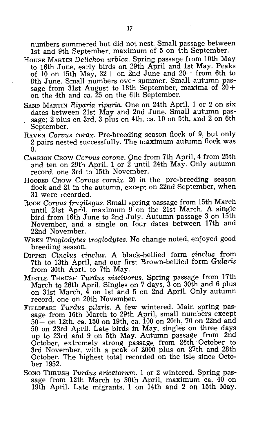numbers summered but did not nest. Small passage between 1st and 9th September, maximum of 5 on 4th September.

- HOUSE MARTIN *Delichon urbica.* Spring passage from 10th May to 16th June, early birds on 29th April and 1st May. Peaks of 10 on 15th May,  $32+$  on 2nd June and  $20+$  from 6th to 8th June. Small numbers over summer. Small autumn passage from 31st August to 18th September, maxima of  $20+$ on the 4th and ca. 25 on the 6th September.
- SAND MARTIN *Riparia riparia.* One on 24th April. 1 or 2 on six dates between 21st May and 2nd June. Small autumn passage; 2 plus on 3rd, 3 plus on 4th, ca. 10 on 5th, and 2 on 6th September.
- RAVEN *Corvus corax*. Pre-breeding season flock of 9, but only 2 pairs nested successfully. The maximum autumn flock was 8.
- CARRION CROW *Corvus corone.* Qne from 7th April, 4 from 25th and ten on 29th April. 1 or 2 until 24th May. Only autumn record, one 3rd to 15th November.
- HOODED CROW *Corvus cornix.* 20 in the pre-breeding season flock and 21 in the autumn, except on 22nd September, when 31 were recorded.
- ROOK *Corvus frugilegus.* Small spring passage from 15th March until 21st April, maximum 9 on the 21st March. A single bird from 16th June to 2nd July. Autumn passage 3 on 15th November, and a single on four dates between 17th and 22nd November.
- WREN *Troglodytes troglodytes.* No change noted, enjoyed good breeding season.
- DIPPER *Cinclus cinclus.* A black-bellied form *cinclus* from 7th to 13th April, and our first Brown-bellied form *Gularis*  from 30th April to 7th May.
- MISTLE THRUSH *Turdus viscivorus.* Spring passage from 17th March to 26th April. Singles on 7 days, 3 on 30th and 6 plus on 31st March, 4 on 1st and 5 on 2nd April. Only autumn record, one on 20th November.
- FIELDFARE *Turdus pilaris.* A few wintered. Main spring passage from 16th March to 29th April, small numbers except  $50 +$  on 12th, ca. 150 on 19th, ca. 100 on 20th, 70 on 22nd and 50 on 23rd April. Late birds in May, singles on three days up to 23rd and 9 on 5th May. Autumn passage from 2nd October, extremely strong passage from 26th October to 3rd November, with a peak of 2000 plus on 27th and 28th October. The highest total recorded on the isle since October 1952.
- SoNG THRUSH *Turdus ericetorum.* 1 or 2 wintered. Spring passage from 12th March to 30th April, maximum ca. 40 on 19th April. Late migrants, 1 on 14th and 2 on 15th May.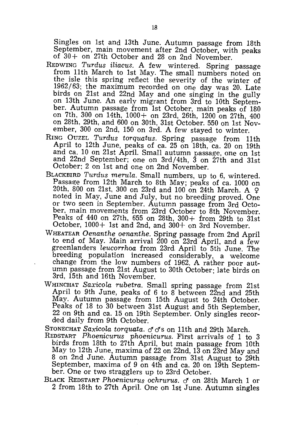Singles on 1st and 13th June. Autumn passage from 18th September, main movement after 2nd October, with peaks of  $30 +$  on 27th October and 28 on 2nd November.

- REDWING *Turdus iliacus.* A few wintered. Spring passage from 11th March to 1st May. The small numbers noted on the isle this spring reflect the severity of the winter of 1962/63; the maximum recorded on one day was 20. Late birds on 21st and 22nd May and one singing in the gully on 13th June. An early migrant from 3rd to 10th September. Autumn passage from 1st October, main peaks of 180 on 7th, 300 on 14th, 1000+ on 23rd, 26th, 1200 on 27th, 400 on 28th, 29th, and 600 on 30th, 31st October. 550 on 1st November, 300 on 2nd, 150 on 3rd. A few stayed to winter.
- RING OUZEL *Turdus torquatus.* Spring passage from 11th April to 12th June, peaks of ca. 25 on 18th, ca. 20 on 19th and ca. 10 on 21st April. Small autumn passage, one on 1st and 22nd September; one on 3rd/4th, 3 on 27th and 31st October; 2 on 1st and one on 2nd November.
- BLACKBIRD *Turdus merula.* Small numbers, up to 6, wintered. Passage from 12th March to 8th May; peaks of ca. 1000 on 20th, 800 on 21st, 300 on 23rd and  $100$  on 24th March. A  $\varphi$ noted in May, June and July, but no breeding proved. One or two seen in September. Autumn passage from 3rd October, main movements from 23rd October to 8th November. Peaks of 440 on 27th, 655 on 28th, 300+ from 29th to 31st October, 1000+ 1st and 2nd, and 300+ on 3rd November.
- WHEATEAR *Oenanthe oenanthe.* Spring passage from 2nd April to end of May. Main arrival 200 on 23rd April, and a few greenlanders *leucorrhoa* from 23rd April to 5th June. The breeding population increased considerably, a welcome change from the low numbers of 1962. A rather poor autumn passage from 21st August to 30th October; late birds on 3rd, 15th and 16th November.
- WHINCHAT *Saxicola rubetra.* Small spring passage from 21st April to 9th June, peaks of 6 to 8 between 22nd and 25th May. Autumn passage from 15th August to 24th October. Peaks of 18 to 30 between 31st August and 5th September, 22 on 9th and ca. 15 on 19th September. Only singles recorded daily from 9th October.

STONECHAT Saxicola torquata.  $\sigma \sigma s$  on 11th and 29th March.

- REDSTART *Phoenicurus phoenicurus.* First arrivals of 1 to 3 birds from 18th to 27th April, but main passage from 10th May to 12th June, maxima of 22 on 22nd, 13 on 23rd May and 8 on 2nd June. Autumn passage from 31st August to 29th September, maxima of 9 on 4th and ca. 20 on 19th September. One or two stragglers up to 23rd October.
- BLACK REDSTART *Phoenicurus ochrurus.* cf on 28th March 1 or 2 from 18th to 27th April. One on 1st June. Autumn singles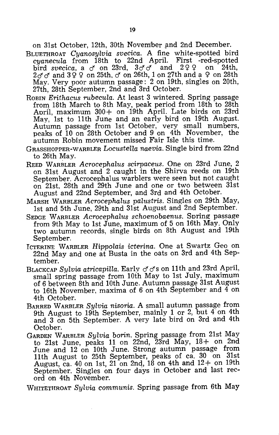on 31st October, 12th, 30th November and 2nd December.

- BLUETHROAT *Cyanosylvia svecica.* A fine white-spotted bird *cyanecula* from 18th to 22nd April. First -red-spotted bird *svecica*, a  $\sigma$  on 23rd,  $3\sigma\sigma$  and 299 on 24th, 2 $f$  *c*<sup> $f$ </sup> and 399 on 25th,  $f'$  on 26th, 1 on 27th and a 9 on 28th May. Very poor autumn passage: 2 on 19th, singles on 20th, 27th, 28th September, 2nd and 3rd October.
- ROBIN *Erithacus rubecula.* At least 3 wintered. Spring passage from 18th March to 8th May, peak period from 18th to 28th April, maximum 300+ on 19th April. Late birds on 23rd May, 1st to 11th June and an early bird on 19th August. Autumn passage from 1st October, very small numbers, peaks of 10 on 28th October and 9 on 4th November, the autumn Robin movement missed Fair Isle this time.
- GRASSHOPPER-WARBLER *Locustella naevia.* Single bird from 22nd to 26th May.
- REED WARBLER *Acrocephalus scirpaceus.* One on 23rd June, 2 on 31st August and 2 caught in the Shirva reeds on 19th September. Acrocephalus warblers were seen but not ,caught on 21st, 28th and 29th June and one or two between 31st August and 22nd September, and 3rd and 4th October.
- MARSH WARBLER *Acrocephalus palustris.* Singles on 29th May, 1st and 5th June, 29th and 31st August and 2nd September.
- SEDGE WARBLER *Acrocephalus schoenobaenus.* Spring passage from 9th May to 1st June, maximum of 5 on 16th May. Only two autumn records, single birds on 8th August and 19th September.
- ICTERINE WARBLER *Hippolais icterina.* One at Swartz Geo on 22nd May and one at Busta in the oats on 3rd and 4th September.
- BLACKCAP *Sylvia atricapilla*. Early σσs on 11th and 23rd April, small spring passage from 10th May to 1st July, maximum of 6 between 8th and 10th June. Autumn passage 31st August to 16th November, maxima of 6 on 4th September and 4 on 4th October.
- BARRED WARBLER *Sylvia nisoria.* A small autumn passage from 9th August to 19th September, mainly 1 or 2, but 4 on 4th and 3 on 5th September. A very late bird on 3rd and 4th October.
- GARDEN WARBLER *Sylvia borin.* Spring passage from 21st May to 21st June, peaks 11 on 22nd, 23rd May, 18+ on 2nd June and 12 on 10th June. Strong autumn passage from 11th August to 25th September, peaks of ca. 30 on 31st August, ca. 40 on 1st,  $21$  on 2nd,  $18$  on  $4th$  and  $12+$  on  $19th$ September. Singles on four days in October and last record on 4th November.

WHITETHROAT *Sylvia communis.* Spring passage from 6th May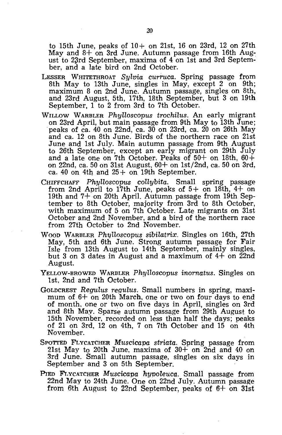to 15th June, peaks of  $10+$  on 21st, 16 on 23rd, 12 on 27th May and  $8+$  on 3rd June. Autumn passage from 16th August to 23rd September, maxima of 4 on 1st and 3rd September, and a late bird on 2nd October.

- LESSER WHITETHROAT *Sylvia curruca.* Spring passage from 8th May to 13th June, singles in May, except 2 on 9th; maximum 8 on 2nd June. Autumn passage, singles on 8th, and 23rd August, 5th, 17th, 18th September, but 3 on 19th September, 1 to 2 from 3rd to 7th October.
- WILLOW WARBLER *Phylloscopus trochilus.* An early migrant on 23rd April, but main passage from 9th May to 13th June; peaks of ca. 40 on 22nd, ca. 30 on 23rd, ca. 20 on 26th May and ca. 12 on 8th June. Birds of the northern race on 21st June and 1st July. Main autumn passage from 9th August to 26th September, except an early migrant on 29th July and a late one on 7th October. Peaks of  $50+$  on 18th,  $60+$ on 22nd, ca. 50 on 31st August, 60+ on 1st/2nd, ca. 50 on 3rd, ca. 40 on 4th and  $25+$  on 19th September.
- CHIFFCHAFF *Phylloscopus collybita.* Small spring passage from 2nd April to 17th June, peaks of  $5+$  on 18th,  $4+$  on 19th and 7+ on 20th April. Autumn passage from 19th September to 8th October, majority from 3rd to 8th October, with maximum of 5 on 7th October. Late migrants on 31st October and 2nd November, and a bird of the northern race from 27th October to 2nd November.
- WOOD WARBLER *Ph'ljlloscopus sibilatrix.* Singles on 16th, 27th May, 5th and 6th June. Strong autumn passage for Fair Isle from 13th August to 14th September, mainly singles, but 3 on 3 dates in August and a maximum of  $4+$  on 22nd August.
- YELLOW-BROWED WARBLER *Phylloscopus inornatus.* Singles on 1st. 2nd and 7th October.
- GOLDCREST *Regulus requlus.* Small numbers in spring, maximum of 6+ on 20th March, one or two on four days to end of month. one or two on five days in April, singles on 3rd and 8th May. Sparse autumn passage from 29th August to 15th November, recorded on less than half the days; peaks of 21 on 3rd, 12 on 4th, 7 on 7th October and 15 on 4th November.
- SPOTTED FLYCATCHER *Muscicapa striata.* Spring passage from 21st May to 20th June, maxima of  $30+$  on  $2nd$  and 40 on 3rd June. Small autumn passage, singles on six days in September and 3 on 5th September.
- PIED FLYCATCHER *Muscicapa hypoleuca.* Small passage from 22nd May to 24th June. One on 22nd July. Autumn passage from 6th August to 22nd September, peaks of  $6+$  on 31st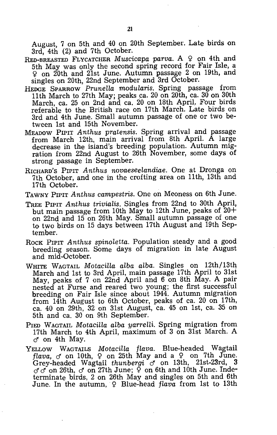August, 7 on 5th and 40 on 20th September. Late birds on 3rd, 4th (2) and 7th October.

- RED-BREASTED FLYCATCHER *Muscicapa parva.* A  $\varphi$  on 4th and 5th May was only the second spring record for Fair Isle, a <sup>~</sup>on 20th and 21st June. Autumn passage 2 on 19th, and singles on 20th, 22nd September and 3rd October.
- HEDGE SPARROW *PruneUa modularis.* Spring passage from 11th March to 27th May; peaks ca. 20 on 20th, ca. 30 on 30th March, ca. 25 on 2nd and ca. 20 on 18th April. Four birds referable to the British race on 17th March. Late birds on 3rd and 4th June. Small autumn passage of one or two between 1st and 15th November.
- MEADOW PIPIT *Anthus* pratensis. Spring arrival and passage from March 12th, main arrival from 8th April. A large decrease in the island's breeding population. Autumn migration from 22nd August to 26th November, some days of strong passage in September.
- RICHARD'S PIPIT *Anthus novaeseelandiae.* One at Dronga on 7th October, and one in the crofting area on 11th, 13th and 17th October.
- TAWNY PIPIT *Anthus campestris.* One on Meoness on 6th June.
- TREE PIPIT *Anthus trivialis.* Singles from 22nd to 30th April, but main passage from 10th May to 12th June, peaks of  $20+$ on 22nd and 15 on 26th May. Small autumn passage of one to two birds on 15 days between 17th August and 19th September.
- ROCK PIPIT *Anthus spinoletta.* Population steady and a good breeding season. Some days of migration in late August and mid-October.
- WHITE WAGTAIL *MotaciUa alba alba.* Singles on 12th/13th March and 1st to 3rd April, main passage 17th April to 31st May, peaks of 7 on 22nd April and 6 on 8th May. A pair nested at Furse and reared two young; the first successful breeding on Fair Isle since about 1944. Autumn migration from 14th August to 6th October, peaks of ca. 20 on 17th, ca. 40 on 29th, 32 on 31st August, ca. 45 on 1st, ca. 35 on 5th and ca. 30 on 9th September.
- PIED WAGTAIL *Motacilla alba yarrelli*. Spring migration from 17th March to 4th April, maximum of 3 on 31st March. A  $\sigma$  on 4th May.
- YELLOW WAGTAILS *Motacilla flava.* Blue-headed Wagtail *flava,*  $\sigma$  on 10th,  $\varphi$  on 25th May and a  $\varphi$  on 7th June. Grey-headed Wagtail *thunbergi* on 13th, 21st-23rd, 3  $\sigma$   $\sigma$  on 26th,  $\sigma$  on 27th June;  $\tilde{\varphi}$  on 6th and 10th June. Indeterminate birds, 2 on 26th May and singles on 5th and 6th June. In the autumn, 9 Blue-head *flava* from 1st to 13th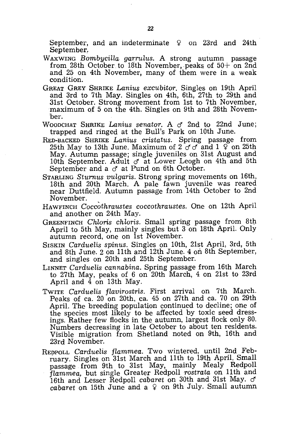September, and an indeterminate  $\varphi$  on 23rd and 24th September,

- WAXWING *Bombycilla garruLus.* A strong autumn passage from 28th October to 18th November, peaks of  $50+$  on 2nd and 25 on 4th November, many of them were in a weak condition.
- GREAT GREY SHRIKE *Lanius excubitor.* Singles on 19th April and 3rd to 7th May. Singles on 4th, 6th, 27th to 29th and 31st October. Strong movement from 1st to 7th November, maximum of 5 on the 4th. Singles on 9th and 28th November.
- WOODCHAT SHRIKE *Lanius senator.* A cf 2nd to 22nd June; trapped and ringed at the Bull's Park on 10th June.
- RED-BACKED SHRIKE *Lanius cristatus.* Spring passage from 25th May to 13th June. Maximum of  $2 \sigma \sigma$  and  $1 \sigma$  on 25th May. Autumn passage; single juveniles on 31st August and 10th September. Adult  $\sigma$  at Lower Leogh on 4th and 5th September and a  $\sigma$  at Pund on 6th October.
- STARLING *Sturnus vulgaris.* Strong spring movements on 16th, 18th and 20th March. A pale fawn juvenile was reared near Duttfield. Autumn passage from 14th October to 2nd November.
- HAWFINCH *Coccothraustes coccothraustes.* One on 12th April and another on 24th May.
- GREENFINCH *Chloris chloris*. Small spring passage from 8th April to 5th May, mainly singles but 3 on 18th April. Only autumn record, one on 1st November.
- SrSKIN *Carduelis spinus.* Singles on 10th, 21st April, 3rd, 5th and 8th June. 2 on 11th and 12th June. 4 on 8th September, and singles on 20th and 25th September.
- LINNET *Carduelis cannabina.* Spring passage from 16th March to 27th May, peaks of 6 on 20th March, 4 on 21st to 23rd April and 4 on 13th May.
- TWITE *Carduelis flavirostris.* First arrival on 7th March. Peaks of ca. 20 on 20th, ca. 45 on 27th and ca. 70 on 29th April. The breeding population continued to decline; one of the species most likely to be affected by toxic seed dressings. Rather few flocks in the autumn, largest flock only 80. Numbers decreasing in late October to about ten residents. Visible migration from Shetland noted on 9th, 16th and 23rd November.
- REPPOLL *Carduelis flammea.* Two wintered, until 2nd February. Singles on 31st March and 11th to 19th April. Small passage from 9th to 31st May, mainly Mealy Redpoll *flammea,* but single Greater Redpoll *rostrata* on 11th and 16th and Lesser Redpoll *cabaret* on 30th and 31st May. cf *cabaret* on 15th June and a  $\varphi$  on 9th July. Small autumn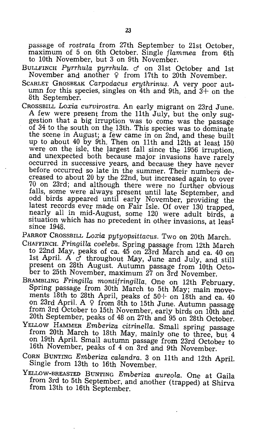passage of *rostrata* from 27th September to 21st October, maximum of 5 on 6th October. Single *flammea* from 6th to 10th November, but 3 on 9th November.

- BULLFINCH *Pyrrhula pyrrhula.* cf on 31st October and 1st November and another  $9$  from 17th to 20th November.
- SCARLET GROSBEAK *Carpodacus erythrinus*. A very poor autumn for this species, singles on 4th and 9th, and  $3+$  on the 8th September.
- CROSSBILL *Loxia curvirostra.* An early migrant on 23rd June. A few were present from the 11th July, but the only suggestion that a big irruption was to come was the passage of 34 to the south on the 13th. This species was to dominate the scene in August; a few came in on 2nd, and these built up to about 40 by 9th. Then on 11th and 12th at least 150 were on the isle, the largest fall since the 1956 irruption, and unexpected both because major invasions have rarely occurred in successive years, and because they have never before occurred so late in the summer. Their numbers decreased to about 20 by the 22nd, but increased again to over 70 on 23rd; and although there were no further obvious falls, some were always present until late September, and odd birds appeared until early November, providing the latest records ever made on Fair Isle. Of over 130 trapped, nearly all in mid-August, some 120 were adult birds, a situation which has no precedent in other invasions, at least since 1948.

PARROT CROSSBILL *Loxia pytyopsittacus.* Two on 20th March.

- CHAFFINCH. *Fringilla coelebs.* Spring passage from 12th March to 22nd May, peaks of ca. 45 on 23rd March and ca. 40 on 1st April. A  $\sigma$  throughout May, June and July, and still present on 28th August. Autumn passage from 10th October to 25th November, maximum 27 on 3rd November.
- BRAMBLING *Fringilla montifringilla.* One on 12th February. Spring passage from 30th March to 5th May; main movements 18th to 28th April, peaks of  $50+$  on 18th and ca. 40 on 23rd April. A  $9$  from 8th to 15th June. Autumn passage from 3rd October to 15th November, early birds on 10th and 20th September, peaks of 48 on 27th and 95 on 28th October.
- YELLOW HAMMER *Emberiza citrinella.* Small spring passage from 20th March to 18th May, mainly one to three, but 4 on 19th April. Small autumn passage from 23rd October to 16th November, peaks of 4 on 3rd and 9th November.
- CORN BUNTING *Emberiza calandra.* 3 on 11th and 12th April. Single from 13th to 16th November.
- YELLOW-BREASTED BUNTING *Emberiza aureola.* One at Gaila from 3rd to 5th September, and another (trapped) at Shirva from 13th to 16th September.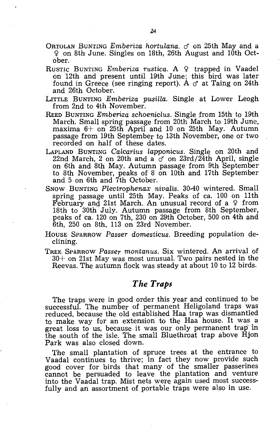- ORTOLAN BUNTING *Emberiza hortulana.* cf on 25th May and a ~ on 8th June. Singles on 18th, 26th August and 10th October.
- RUSTIC BUNTING *Emberiza rustica*. A 9 trapped in Vaadel on 12th and present until 19th June: this bird was later found in Greece (see ringing report). A  $\sigma$  at Taing on 24th and 26th October.
- LITTLE BUNTING *Emberiza pusilla.* Single at Lower Leogh from 2nd to 4th November.
- REED BUNTING *Emberiza schoeniclus.* Single from 15th to 19th March. Small spring passage from 20th March to 19th June, maxima  $6+$  on 25th April and 10 on 25th May. Autumn passage from 19th September to 13th November, one or two recorded on half of these dates.
- LAPLAND BUNTING *Calcarius lapponicus.* Single on 20th and 22nd March, 2 on 20th and a  $\sigma$  on 23rd/24th April, single on 6th and 8th May. Autumn passage from 9th September to 8th November, peaks of 8 on 10th and 17th September and 5 on 6th and 7th October.
- SNOW BUNTING *Plectrophenax nivalis.* 30-40 wintered. Small spring passage until 25th May. Peaks of ca. 100 on 11th February and 21st March. An unusual record of a  $9$  from 18th to 30th-July. Autumn passage from 8th September, peaks of ca. 120 on 7th, 230 on 29th October, 500 on 4th and 6th, 250 on 8th, 113 on 23rd November.
- HOUSE SPARROW *Passer domesticus.* Breeding population declining.
- TREE SPARROW *Passer montanus.* Six wintered. An arrival of 30+ on 21st May was most unusual. Two pairs nested in the Reevas. The autumn flock was steady at about 10 to 12 birds.

## *The Traps*

The traps were in good order this year and continued to be successful. The number of permanent Heligoland traps was reduced, because the old established Haa trap was dismantled to make way for an extension to the Haa house. It was a great loss to us, because it was our only permanent trap in the south of the isle. The, small Bluethroat trap above Hjon Park was also closed down.

The small plantation of spruce trees at the entrance to Vaadal continues to thrive; in fact they now provide such good cover for birds that many of the smaller passerines cannot be persuaded to leave the plantation and venture into the Vaadal trap. Mist nets were again used most successfully and an assortment of portable traps were also in use.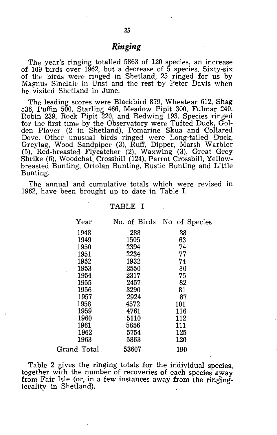The year's ringing totalled 5863 of 120 species, an increase of 109 birds over 1962, but a decrease of  $\bar{5}$  species. Sixty-six of the birds were ringed in Shetland, 25 ringed for us by Magnus Sinclair in Unst and the rest by Peter Davis when he visited Shetland in June.

The leading scores were Blackbird 879, Wheatear 612, Shag 536, Puffin 500, Starling 466, Meadow Pipit 300, Fulmar 240, Robin 239, Rock Pipit 220, and Redwing 193. Species ringed for the first time by the Observatory were Tufted Duck, Golden Plover (2 in Shetland), Pomarine Skua and Collared Dove. Other unusual birds ringed were Long-tailed Duck, Greylag, Wood Sandpiper (3), Ruff, Dipper, Marsh Warbler (5), Red-breasted Flycatcher (2), Waxwing (3), Great Grey Shrike (6), Woodchat, Crossbill (124), Parrot Crossbill, Yellowbreasted Bunting, Ortolan Bunting, Rustic Bunting and Little Bunting.

The annual and cumulative totals which were revised in 1962, have been brought up to date in Table 1.

|                        | Year         |       | No. of Birds No. of Species                                                                                                                                                                  |  |
|------------------------|--------------|-------|----------------------------------------------------------------------------------------------------------------------------------------------------------------------------------------------|--|
|                        | 1948         | 288   | 38                                                                                                                                                                                           |  |
|                        | 1949         | 1505  | 63                                                                                                                                                                                           |  |
|                        | 1950         | 2394  | 74                                                                                                                                                                                           |  |
|                        | 1951         | 2234  | 77                                                                                                                                                                                           |  |
|                        | 1952         | 1932  | 74                                                                                                                                                                                           |  |
|                        | 1953         | 2550  | 80                                                                                                                                                                                           |  |
|                        | 1954         | 2317  | 75                                                                                                                                                                                           |  |
|                        | 1955         | 2457  | 82                                                                                                                                                                                           |  |
|                        | 1956         | 3290  | 81                                                                                                                                                                                           |  |
|                        | 1957         | 2924  | 87                                                                                                                                                                                           |  |
|                        | 1958         | 4572  | 101                                                                                                                                                                                          |  |
|                        | 1959         | 4761  | 116                                                                                                                                                                                          |  |
|                        | 1960         | 5110  | 112                                                                                                                                                                                          |  |
|                        | 1961         | 5656  | 111                                                                                                                                                                                          |  |
|                        | 1962         | 5754  | 125                                                                                                                                                                                          |  |
|                        | 1963         | 5863  | 120                                                                                                                                                                                          |  |
|                        | Grand Total. | 53607 | 190                                                                                                                                                                                          |  |
| locality in Shetland). |              |       | Table 2 gives the ringing totals for the individual species,<br>together with the number of recoveries of each species away<br>from Fair Isle (or, in a few instances away from the ringing- |  |
|                        |              |       |                                                                                                                                                                                              |  |

#### TABLE I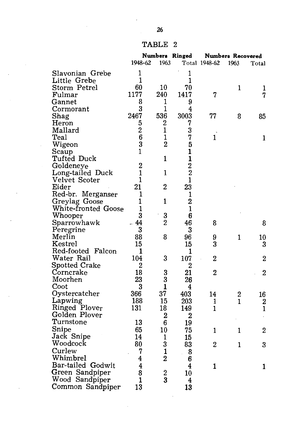| TABLE |  |
|-------|--|
|-------|--|

|                            | Numbers Ringed |                  |                         | <b>Numbers Recovered</b> |              |                |  |
|----------------------------|----------------|------------------|-------------------------|--------------------------|--------------|----------------|--|
|                            | 1948-62        | 1963             |                         | Total 1948-62            | 1963         | Total          |  |
| Slavonian Grebe            | $\mathbf 1$    |                  | 1                       |                          |              |                |  |
| Little Grebe               | 1              |                  | 1                       |                          |              |                |  |
| Storm Petrel               | 60             | 10               | 70                      |                          | 1            | 1              |  |
| Fulmar                     | 1177           | 240              | 1417                    | 7                        |              | 7              |  |
| Gannet                     | 8              | 1                | 9                       |                          |              |                |  |
| Cormorant                  | 3              | 1                | 4                       |                          |              |                |  |
| Shag                       | 2467           | 536              | 3003                    | 77                       | 8            | 85             |  |
| Heron                      | 5              | 2                | 7                       |                          |              |                |  |
| Mallard                    | $\overline{2}$ | $\mathbf{1}$     | 3                       |                          |              |                |  |
| Teal                       | 6              | $\mathbf{1}$     | 7                       | $\mathbf{1}$             |              | 1              |  |
| Wigeon                     | 3              | $\overline{2}$   | 5                       |                          |              |                |  |
| Scaup                      | $\mathbf{1}$   |                  | $\mathbf{1}$            |                          |              |                |  |
| Tufted Duck                |                | 1                | $\mathbf{1}$            |                          |              |                |  |
| Goldeneye                  | $\overline{2}$ |                  | $\overline{2}$          |                          |              |                |  |
| Long-tailed Duck           | $\mathbf{1}$   | $\mathbf{1}$     | $\overline{2}$          |                          |              |                |  |
| Velvet Scoter              | 1              |                  | $\mathbf{1}$            |                          |              |                |  |
| Eider                      | 21             | $\overline{2}$   | 23                      |                          |              |                |  |
| Red-br. Merganser          | 1              |                  | 1                       |                          |              |                |  |
| Greylag Goose              | 1              | 1                | $\overline{2}$          |                          |              |                |  |
| <b>White-fronted Goose</b> | 1              |                  | $\mathbf{1}$            |                          |              |                |  |
| Whooper                    | 3              | 3                | 6                       |                          |              |                |  |
| Sparrowhawk                | - 44           | $\overline{2}$   | 46                      | 8                        |              | 8              |  |
| Peregrine                  | 3              |                  | 3                       |                          |              |                |  |
| Merlin                     | 88             | 8                | 96                      | 9                        | $\mathbf{1}$ | 10             |  |
| Kestrel                    | 15             |                  | 15                      | 3                        |              | 3              |  |
| Red-footed Falcon          | 1              |                  | 1                       |                          |              |                |  |
| Water Rail                 | 104            | 3                | 107                     | $\mathbf{2}$             |              | 2              |  |
| <b>Spotted Crake</b>       | $\overline{2}$ |                  | $\overline{2}$          |                          |              |                |  |
| Corncrake                  | 18             | 3                | 21                      | $\overline{2}$           |              | $\overline{2}$ |  |
| Moorhen                    | 23             | 3                | 26                      |                          |              |                |  |
| Coot                       | 3              | $\mathbf{1}$     | 4                       |                          |              |                |  |
| Oystercatcher              | 366            | 37               | 403                     | 14                       | 2            | 16             |  |
| Lapwing                    | 188            | 15               | 203                     | 1                        | 1            | 2              |  |
| Ringed Plover              | 131            | 18               | 149                     | $\mathbf 1$              |              | 1              |  |
| Golden Plover              |                | $\overline{2}$   | $\overline{2}$          |                          |              |                |  |
| Turnstone                  | 13             | 6                | 19                      |                          |              |                |  |
| Snipe                      | 65             | 10               | 75                      | 1                        | $\mathbf{1}$ | 2              |  |
| Jack Snipe                 | 14             | $\mathbf{1}$     | 15                      |                          |              |                |  |
| Woodcock                   | 80             | 3                | 83                      | 2                        | 1            | 3              |  |
| Curlew                     | 7              | $\mathbf{1}$     | 8                       |                          |              |                |  |
| Whimbrel                   | 4              | $\overline{2}$   | 6                       |                          |              |                |  |
| Bar-tailed Godwit          | 4              |                  | $\overline{\mathbf{4}}$ | 1                        |              | 1              |  |
| Green Sandpiper            | 8              | $\boldsymbol{2}$ | 10                      |                          |              |                |  |
| Wood Sandpiper             | 1              | 3                | 4                       |                          |              |                |  |
| Common Sandpiper           | 13             |                  | 13                      |                          |              |                |  |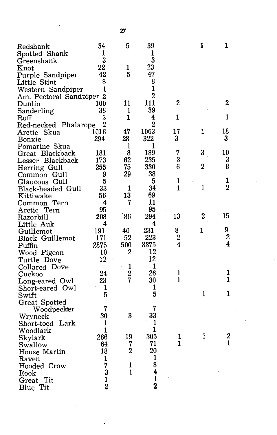| Redshank                 | 34             | 5              | 39                      |                | 1              | 1              |
|--------------------------|----------------|----------------|-------------------------|----------------|----------------|----------------|
| Spotted Shank            | 1              |                | 1                       |                |                |                |
| Greenshank               | 3              |                | $\overline{\mathbf{3}}$ |                |                |                |
| Knot                     | 22             | 1              | 23                      |                |                |                |
| Purple Sandpiper         | 42             | 5              | 47                      |                |                |                |
| Little Stint             | 8              |                | 8                       |                |                |                |
| Western Sandpiper        | 1              |                | $\mathbf{1}$            |                |                |                |
| Am. Pectoral Sandpiper 2 |                |                | $\overline{2}$          |                |                |                |
| Dunlin                   | 100            | 11             | 111                     | $\overline{2}$ |                | $\bf{2}$       |
| Sanderling               | 38             | 1              | 39                      |                |                |                |
| Ruff                     | 3              | 1              | $\cdot$ 4               | 1              |                | 1              |
| Red-necked Phalarope     | $\overline{2}$ |                | 2                       |                |                |                |
| Arctic Skua              | 1016           | 47             | 1063                    | 17             | 1              | 18             |
| Bonxie                   | 294            | 28             | 322                     | 3              |                | 3              |
|                          |                | 1              | 1                       |                |                |                |
| Pomarine Skua            | 181            | 8              | 189                     | 7              | 3 <sup>1</sup> | 10             |
| Great Blackback          | 173            | 62             | 235                     | 3              |                | 3              |
| Lesser Blackback         |                | 75             | 330                     | 6              | $\overline{2}$ | 8              |
| Herring Gull             | 255            | 29             | 38                      |                |                |                |
| Common Gull              | 9              |                |                         | 1              |                | 1              |
| Glaucous Gull            | 5              | 1              | 5                       | 1              | $\mathbf{1}$   | $\overline{2}$ |
| Black-headed Gull        | 33             |                | 34                      |                |                |                |
| Kittiwake                | 56             | 13             | 69                      |                |                |                |
| Common Tern              | 4              | 7              | 11                      |                |                |                |
| Arctic Tern              | 95             |                | 95                      |                |                |                |
| Razorbill                | 208            | 86'            | 294                     | 13             | $\overline{2}$ | 15             |
| Little Auk               | 4              |                | 4                       |                |                |                |
| Guillemot                | 191            | 40             | 231                     | 8              | 1              | 9              |
| Black Guillemot          | 171            | 52             | 223                     | $\overline{2}$ |                | $\overline{2}$ |
| Puffin                   | 2875           | 500            | 3375                    | $\overline{4}$ |                | 4              |
| Wood Pigeon              | 10             | 2              | 12                      |                |                |                |
| Turtle Dove              | 12             |                | 12                      |                |                |                |
| Collared Dove            |                | 1              | 1                       |                |                |                |
| Cuckoo                   | 24             | $\overline{2}$ | 26                      | 1              |                | ı              |
| Long-eared Owl           | 23             | 7              | 30                      | 1              |                | 1              |
| Short-eared Owl          | 1              |                | 1                       |                |                |                |
| Swift                    | 5              |                | 5                       |                | 1              | 1              |
| Great Spotted            |                |                |                         |                |                |                |
| Woodpecker               | 7              |                | 7                       |                |                |                |
| Wryneck                  | 30             | 3              | 33                      |                |                |                |
| Lark<br>Short-toed       | 1              |                | 1                       |                |                |                |
| Woodlark                 | $\mathbf{1}$   |                | 1                       |                |                |                |
| Skylark                  | 286            | 19             | 305                     | 1              | 1              | 2              |
| Swallow                  | 64             | 7              | 71                      | 1              |                | 1              |
| House Martin             | $18^{\circ}$   | $\overline{2}$ | 20                      |                |                |                |
| Raven                    | 1              |                | 1                       |                |                |                |
| Hooded Crow              | 7              | 1              | 8                       |                |                |                |
| Rook                     | 3              | $\mathbf{1}$   | 4                       |                |                |                |
| Tit<br>Great             | $\mathbf{1}$   |                | $\mathbf{1}$            |                |                |                |
| Blue Tit                 | $\overline{2}$ |                | $\overline{2}$          |                |                |                |
|                          |                |                |                         |                |                |                |

27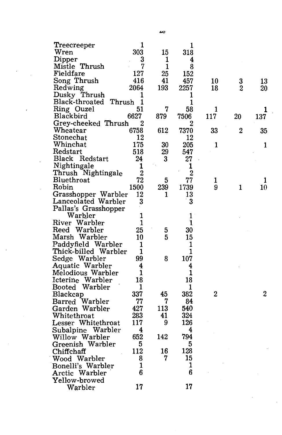| Treecreeper       |                         | 1              |                         | 1              |                |                  |                  |  |
|-------------------|-------------------------|----------------|-------------------------|----------------|----------------|------------------|------------------|--|
| Wren              |                         | 303            | 15                      | 318            |                |                  |                  |  |
| Dipper            |                         | 3              | 1                       | 4              |                |                  |                  |  |
| Mistle Thrush     |                         | 7              | 1                       | 8              |                |                  |                  |  |
| Fieldfare         |                         | 127            | 25                      | 152            |                |                  |                  |  |
| Song Thrush       |                         | 416            | 41                      | 457            | 10             | 3                | 13               |  |
| Redwing           |                         | 2064           | 193                     | 2257           | 18             | $\overline{2}$   | $20\,$           |  |
| Dusky Thrush      |                         | 1              |                         | 1              |                |                  |                  |  |
|                   | Black-throated Thrush 1 |                |                         | 1              |                |                  |                  |  |
| Ring Ouzel        |                         | 51             | 7                       | 58             | 1              |                  | 1                |  |
| Blackbird         |                         | 6627           | 879                     | 7506           | 117            | 20               | 137              |  |
|                   | Grey-cheeked Thrush     | 2              |                         | 2              |                |                  |                  |  |
| Wheatear          |                         | 6758           | 612                     | 7370           | 33             | $\boldsymbol{2}$ | 35               |  |
| ${\rm Stonechat}$ |                         | 12             |                         | 12             |                |                  |                  |  |
| Whinchat          |                         | 175            | 30                      | 205            | 1              |                  | 1                |  |
| Redstart          |                         | 518            | 29                      | 547            |                |                  |                  |  |
|                   | Black Redstart          | 24             | $\bf{3}$                | 27             |                |                  |                  |  |
| Nightingale       |                         | 1              |                         | 1              |                |                  |                  |  |
|                   | Thrush Nightingale      | $\overline{2}$ |                         | $\overline{2}$ |                |                  |                  |  |
| Bluethroat        |                         | 72             | $\overline{\mathbf{5}}$ | 77             | 1              |                  | 1                |  |
| Robin             |                         | 1500           | 239                     | 1739           | 9              | 1                | 10               |  |
|                   | Grasshopper Warbler     | 12             | 1                       | 13             |                |                  |                  |  |
|                   | Lanceolated Warbler     | 3              |                         | 3              |                |                  |                  |  |
|                   | Pallas's Grasshopper    |                |                         |                |                |                  |                  |  |
|                   | Warbler                 | 1              |                         | 1              |                |                  |                  |  |
| River Warbler     |                         | 1              |                         | 1              |                |                  |                  |  |
| Reed Warbler      |                         | 25             | 5                       | 30             |                |                  |                  |  |
|                   | Marsh Warbler           | 10             | 5                       | 15             |                |                  |                  |  |
|                   | Paddyfield Warbler      | 1              |                         | 1              |                |                  |                  |  |
|                   | Thick-billed Warbler    | 1              |                         | 1              |                |                  |                  |  |
| Sedge Warbler     |                         | 99             | 8                       | 107            |                |                  |                  |  |
|                   | Aquatic Warbler         | 4              |                         | 4              |                |                  |                  |  |
|                   | Melodious Warbler       | 1              |                         | 1              |                |                  |                  |  |
|                   | Icterine Warbler        | 18             |                         | 18             |                |                  |                  |  |
|                   | Booted Warbler          | 1              |                         | 1              |                |                  |                  |  |
| Blackcap          |                         | 337            | 45                      | 382            | $\overline{2}$ |                  | $\boldsymbol{2}$ |  |
|                   | Barred Warbler          | 77             | 7                       | 84             |                |                  |                  |  |
|                   | Garden Warbler          | 427            | 113                     | 540            |                |                  |                  |  |
| Whitethroat       |                         | 283            | 41                      | 324            |                |                  |                  |  |
|                   | Lesser Whitethroat      | 117            | 9                       | 126            |                |                  |                  |  |
|                   | Subalpine Warbler       | 4              |                         | 4              |                |                  |                  |  |
|                   | Willow Warbler          | 652            | 142                     | 794            |                |                  |                  |  |
|                   | Greenish Warbler        | 5              |                         | 5              |                |                  |                  |  |
| Chiffchaff        |                         | 112            | 16                      | 128            |                |                  |                  |  |
| Wood Warbler      |                         | 8              | 7                       | 15             |                |                  |                  |  |
|                   | Bonelli's Warbler       | 1              |                         | 1              |                |                  |                  |  |
| Arctic Warbler    |                         | 6              |                         | 6              |                |                  |                  |  |
| Yellow-browed     |                         |                |                         |                |                |                  |                  |  |
|                   | Warbler                 | 17             |                         | 17             |                |                  |                  |  |
|                   |                         |                |                         |                |                |                  |                  |  |
|                   |                         |                |                         |                |                |                  |                  |  |

 $\frac{1}{2}$ 

 $\mathbb{Z}^{\mathbb{Z}^2}$ 

 $\overline{a}$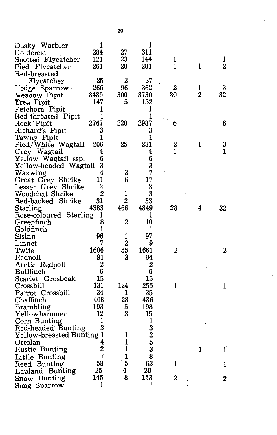| Dusky Warbler             | ı                   |                | 1                       |                |                |                  |
|---------------------------|---------------------|----------------|-------------------------|----------------|----------------|------------------|
| Goldcrest                 | 284                 | 27             | 311                     |                |                |                  |
| Spotted Flycatcher        | 121                 | 23             | 144                     | 1              |                | ı                |
| Pied Flycatcher           | 261                 | 20             | 281                     | 1              | 1              | $\overline{2}$   |
| Red-breasted              |                     |                |                         |                |                |                  |
| Flycatcher                | 25                  | $\overline{2}$ | 27                      |                |                |                  |
| Hedge Sparrow             | 266                 | 96             | 362                     | $\overline{2}$ | 1              | 3                |
| Meadow Pipit              | 3430                | 300            | 3730                    | 30             | $\overline{2}$ | 32               |
| Tree Pipit                | 147                 | 5              | 152                     |                |                |                  |
| Petchora Pipit            | $\mathbf{1}$        |                | 1                       |                |                |                  |
| Red-throated Pipit        | 1                   |                | 1                       |                |                |                  |
| Rock Pipit                | 2767                | 220            | 2987                    | 6              |                | 6                |
| Richard's Pipit           | 3                   |                | 3                       |                |                |                  |
| Tawny Pipit               | 1                   |                | 1                       |                |                |                  |
| Pied/White Wagtail        | 206                 | 25             | 231                     |                | 1              | 3                |
| Grey Wagtail              | 4                   |                | 4                       | $\frac{2}{1}$  |                | 1                |
| Yellow Wagtail ssp.       | 6                   |                | 6                       |                |                |                  |
| Yellow-headed Wagtail     | 3                   |                | 3                       |                |                |                  |
|                           | 4                   | 3              | 7                       |                |                |                  |
| Waxwing                   | 11                  | 6              | 17                      |                |                |                  |
| Great Grey Shrike         |                     |                |                         |                |                |                  |
| Lesser Grey Shrike        | 3<br>$\overline{2}$ | $\mathbf{1}$   | 3                       |                |                |                  |
| Woodchat Shrike           |                     |                | 3                       |                |                |                  |
| Red-backed Shrike         | 31                  | $\overline{2}$ | 33                      |                |                |                  |
| Starling                  | 4383                | 466            | 4849                    | 28             | 4              | 32               |
| Rose-coloured Starling    | ı                   |                | 1                       |                |                |                  |
| Greenfinch                | 8                   | $\overline{2}$ | 10                      |                |                |                  |
| Goldfinch                 | 1                   |                | 1                       |                |                |                  |
| Siskin                    | 96                  | 1              | 97                      |                |                |                  |
| Linnet                    | 7                   | $\overline{2}$ | 9                       |                |                |                  |
| Twite                     | 1606                | 55             | 1661                    | 2              |                | $\boldsymbol{2}$ |
| Redpoll                   | 91                  | 3              | 94                      |                |                |                  |
| Arctic Redpoll            | $\overline{2}$      |                | $2\cdot$                |                |                |                  |
| Bullfinch                 | 6                   |                | 6                       |                |                |                  |
| Scarlet Grosbeak          | 15                  |                | 15                      |                |                |                  |
| Crossbill                 | 131                 | 124            | 255                     | 1              |                | 1                |
| Parrot Crossbill          | 34                  | 1              | 35                      |                |                |                  |
| Chaffinch                 | 408                 | 28             | 436                     |                |                |                  |
| <b>Brambling</b>          | 193                 | 5              | 198                     |                |                |                  |
| Yellowhammer              | 12                  | 3              | 15                      |                |                |                  |
| Corn Bunting              | 1                   |                | 1                       |                |                |                  |
| Red-headed Bunting        | 3                   |                | 3                       |                |                |                  |
| Yellow-breasted Bunting 1 |                     | 1              | $\overline{\mathbf{c}}$ |                |                |                  |
| Ortolan                   | 4                   | 1              | 5                       |                |                |                  |
| <b>Rustic Bunting</b>     | $\overline{2}$      | $\mathbf{1}$   | 3                       |                | 1              | $\mathbf{1}$     |
| Little Bunting            | 7                   | $\mathbf{1}$   | 8                       |                |                |                  |
| Reed Bunting              | 58                  | 5              | 63                      | 1              |                | ı                |
| Lapland Bunting           | 25                  | 4              | 29                      |                |                |                  |
| Snow Bunting              | 145                 | 8              | 153                     | $\overline{2}$ |                | 2                |
| Song Sparrow              | 1                   |                | 1                       |                |                |                  |
|                           |                     |                |                         |                |                |                  |

29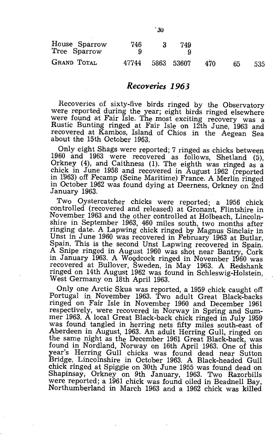| House Sparrow<br>Tree Sparrow | 746   | 749        |     |    |     |
|-------------------------------|-------|------------|-----|----|-----|
| <b>GRAND TOTAL</b>            | 47744 | 5863 53607 | 470 | 65 | 535 |

#### *Recoveries* **1963**

Recoveries of sixty-five birds ringed by the Observatory were reported during the year; eight birds ringed elsewhere were found at Fair Isle. The most exciting recovery was a Rustic Bunting ringed at Fair Isle on 12th June, 1963 and recovered at Kambos, Island of Chios in the Aegean Sea about the 15th October 1963.

Only eight Shags were reported; 7 ringed as chicks between 1960 and 1963 were recovered as follows, Shetland (5), Orkney (4), and Caithness (1). The eighth was ringed as a chick in June 1958 and recovered in August 1962 (reported in 1963) off Fecamp (Seine Maritime) France. A Merlin ringed in October 1962 was found dying at Deerness, Orkney on 2nd January 1963.

Two Oystercatcher chicks were reported; a 1956 chick controlled (recovered and released) at Gronant, Flintshire in November 1963 and the other controlled at Holbeach, Lincolnshire in September 1963, 460 miles south, two months after ringing date. A Lapwing chick ringed by Magnus Sinclair in Unst in June 1960 was recovered in February 1963 at Butlar, Spain. This is the second Unst Lapwing recovered in Spain. A Snipe ringed in August 1960 was shot near Bantry, Cork in January 1963. A WOQdcock ringed in November 1960 was recovered at Bullover, Sweden, in May 1963. A Redshank ringed on 14th August 1962 was found in Schleswig-Holstein, West Germany on 18th April 1963.

Only one Arctic Skua was reported, a 1959 chick caught off Portugal in November 1963. Two adult Great Black-backs ringed on Fair Isle in November 1960 and December 1961 respectively, were recovered in Norway in Spring and Summer 1963. A local Great Black-back chick ringed in July 1959 was found tangled in herring nets fifty miles south-east of Aberdeen in August, 1963. An adult Herring Gull, ringed on the same night as the December 1961 Great Black-back, was found in Nordland, Norway on 16th April 1963. One of this year's Herring Gull chicks was found dead near Sutton Bridge, Lincolnshire in October 1963. A Black-headed Gull chick ringed at Spiggie on 30th June 1955 was found dead on Shapinsay, Orkney on 9th January, 1963. Two Razorbills were reported; a 1961 chick was found oiled in Beadnell Bay, Northumberland in March 1963 and a 1962 chick was killed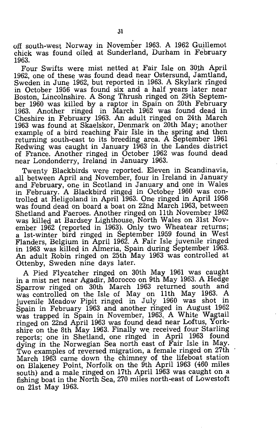off south-west Norway in November 1963. A 1962 Guillemot chick was found oiled at Sunderland, Durham in February 1963.

Four Swifts were mist netted at Fair Isle on 30th April 1962, one of these was found dead near Ostersund, Jamtland, Sweden in June 1962, but reported in 1963. A Skylark ringed in October 1956 was found six and a half years later near Boston, Lincolnshire. A Song Thrush ringed on 29th September 1960 was killed by a raptor in Spain on 20th February 1963. Another ringed in March 1962 was found dead in Cheshire in February 1963. An adult ringed on 24th March 1963 was found at Skaelskor, Denmark on 20th May; another example of a bird reaching Fair Isle in the spring and then returning south-east to its breeding area. A September 1961 Redwing was caught in January 1963 in the Landes district of France. Another ringed in October 1962 was found dead near Londonderry, Ireland in January 1963.

Twenty Blackbirds were reported. Eleven in Scandinavia, all between April and November, four in Ireland in January and February, one in Scotland in January and one in Wales in February. A Blackbird ringed in October 1960 was controlled at Heligoland in April 1963. One ringed in April 1958 was found dead on board a boat on 22nd March 1963, between Shetland and Faeroes. Another ringed on 11th November 1962 was killed at Bardsey Lighthouse, North Wales on 31st November 1962 (reported in 1963). Only two Wheatear returns; a 1st-winter bird ringed in September 1959 found in West Flanders, Belgium in April 1962. A Fair Isle juvenile ringed in 1963 was killed in Almeria, Spain during September 1963. An adult Robin ringed on 25th May 1963 was controlled at Ottenby, Sweden nine days later.

A Pied Flycatcher ringed on 30th May 1961 was caught in a mist net near Agadir, Morocco on 9th May 1963. A Hedge Sparrow ringed on 30th March 1963 returned south and was controlled on the Isle of May on 11th May 1963. A juvenile Meadow Pipit ringed in July' 1960 was shot in Spain in February 1963 and another ringed in August 1962 was trapped in Spain in November, 1963. A White Wagtail ringed on 22nd April 1963 was found dead near Loftus, Yorkshire on the 8th May 1963. Finally we received four Starling reports; one in Shetland, one ringed in April 1963 found dying in the Norwegian Sea north east of Fair Isle in May. Two examples of reversed migration, a female ringed on 27th March 1963 came down the chimney of the lifeboat station on Blakeney Point, Norfolk on the 9th April 1963 (460 miles south) and a male ringed on 17th April 1963 was caught on a fishing boat in the North Sea, 270 miles north-east of Lowestoft on 21st May 1963.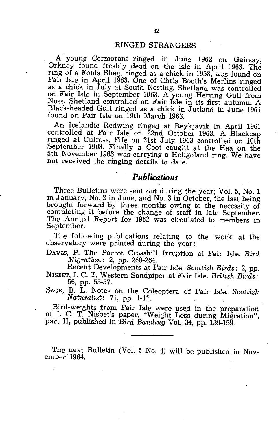#### RINGED STRANGERS

A young Cormorant ringed in June 1962 on Gairsay, Orkney found freshly dead on the isle in April 1963. The ring of a Foula Shag, ringed as a chick in 1958, was found on Fair Isle in April 1963. One of Chris Booth's Merlins ringed as a chick in July at South Nesting, Shetland was controlled on Fair Isle in September 1963. A young Herring Gull from Noss, Shetland controlled on Fair Isle in its first autumn. A Black-headed Gull ringed as a chick in Jutland in June 1961 found on Fair Isle on 19th March 1963.

An Icelandic Redwing ringed at Reykjavik in April 1961 controlled at Fair Isle on 22nd October 1963. A Blackcap ringed at Culross, Fife on 21st July 1963 controlled on 10th September 1963. Finally a Coot caught at the Haa on the 5th November 1963 was carrying a Heligoland ring. We have not received the ringing details to date.

### *Publications*

Three Bulletins were sent out during the year; Vol. 5, No. 1 in January, No. 2 in June, and *No.* 3 in October, the last being brought forward by three months owing to the necessity of completing it before the change of staff in late September. The Annual Report for 1962 was circulated to members in September.

The following publications relating to the work at the observatory were printed during the year:

DAVIS, P. The Parrot Crossbill Irruption at Fair Isle. *Bird Migration:* 2, pp. 260-264.

Recent Developments at Fair Isle. *Scottish Birds:* 2, pp. NISBET, 1. C. T. Western Sandpiper at Fair Isle. *British Birds:*  56, pp. 55-57.

SAGE, B. L. Notes on the Coleoptera of Fair Isle. *Scottish Naturalist:* 71, pp. 1-12.

Bird-weights from Fair Isle were used in the preparation of 1. C. T. Nisbet's paper, "Weight Loss during Migration", part Il, published in *Bird Banding* Vol. 34, pp. 139-159.

The next Bulletin (Vol. 5 No. 4) will be published in November 1964.